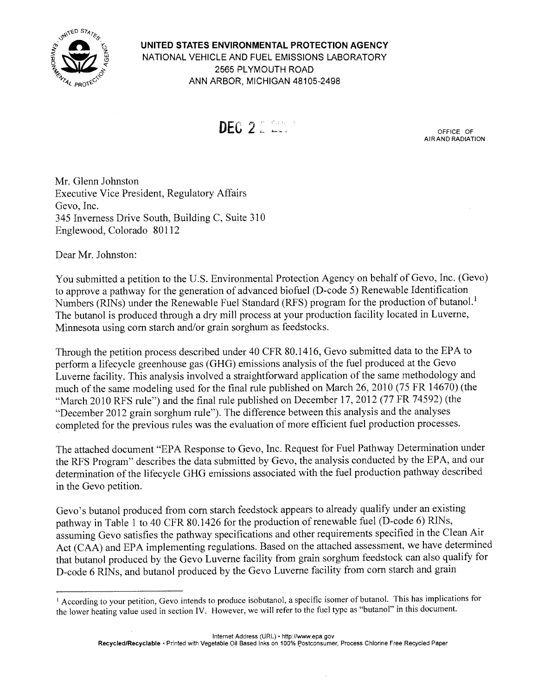

UNITED STATES ENVIRONMENTAL PROTECTION AGENCY NATIONAL VEHICLE AND FUEL EMISSIONS LABORATORY 2565 PLYMOUTH ROAD ANN ARBOR, MICHIGAN 48105-2498



OFFICE OF AIR AND RADIATION

Mr. Glenn Johnston **Executive Vice President, Regulatory Affairs** Gevo. Inc. 345 Inverness Drive South, Building C, Suite 310 Englewood, Colorado 80112

Dear Mr. Johnston:

You submitted a petition to the U.S. Environmental Protection Agency on behalf of Gevo, Inc. (Gevo) to approve a pathway for the generation of advanced biofuel (D-code 5) Renewable Identification Numbers (RINs) under the Renewable Fuel Standard (RFS) program for the production of butanol.<sup>1</sup> The butanol is produced through a dry mill process at your production facility located in Luverne, Minnesota using corn starch and/or grain sorghum as feedstocks.

Through the petition process described under 40 CFR 80.1416, Gevo submitted data to the EPA to perform a lifecycle greenhouse gas (GHG) emissions analysis of the fuel produced at the Gevo Luverne facility. This analysis involved a straightforward application of the same methodology and much of the same modeling used for the final rule published on March 26, 2010 (75 FR 14670) (the "March 2010 RFS rule") and the final rule published on December 17, 2012 (77 FR 74592) (the "December 2012 grain sorghum rule"). The difference between this analysis and the analyses completed for the previous rules was the evaluation of more efficient fuel production processes.

The attached document "EPA Response to Gevo, Inc. Request for Fuel Pathway Determination under the RFS Program" describes the data submitted by Gevo, the analysis conducted by the EPA, and our determination of the lifecycle GHG emissions associated with the fuel production pathway described in the Gevo petition.

Gevo's butanol produced from corn starch feedstock appears to already qualify under an existing pathway in Table 1 to 40 CFR 80.1426 for the production of renewable fuel (D-code 6) RINs, assuming Gevo satisfies the pathway specifications and other requirements specified in the Clean Air Act (CAA) and EPA implementing regulations. Based on the attached assessment, we have determined that butanol produced by the Gevo Luverne facility from grain sorghum feedstock can also qualify for D-code 6 RINs, and butanol produced by the Gevo Luverne facility from corn starch and grain

<sup>&</sup>lt;sup>1</sup> According to your petition, Gevo intends to produce isobutanol, a specific isomer of butanol. This has implications for the lower heating value used in section IV. However, we will refer to the fuel type as "butanol" in this document.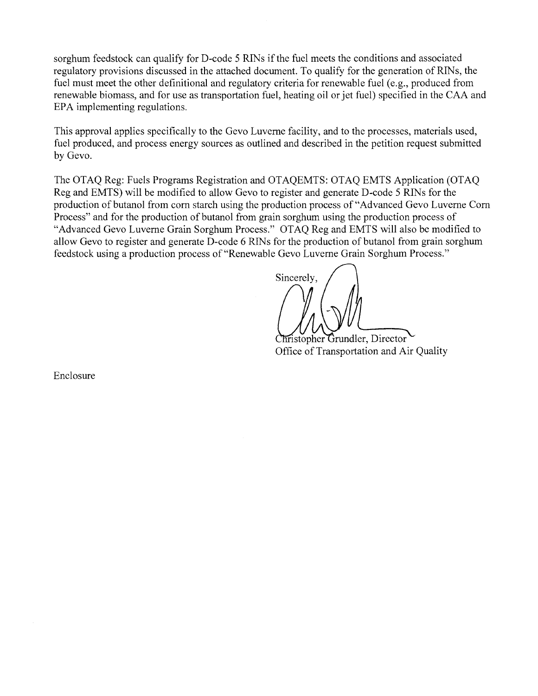sorghum feedstock can qualify for D-code 5 RINs if the fuel meets the conditions and associated regulatory provisions discussed in the attached document. To qualify for the generation of RINs, the fuel must meet the other definitional and regulatory criteria for renewable fuel (e.g., produced from renewable biomass, and for use as transportation fuel, heating oil or jet fuel) specified in the CAA and EPA implementing regulations.

This approval applies specifically to the Gevo Luverne facility, and to the processes, materials used, fuel produced, and process energy sources as outlined and described in the petition request submitted by Gevo.

The OTAQ Reg: Fuels Programs Registration and OTAQEMTS: OTAQ EMTS Application (OTAQ Reg and EMTS) will be modified to allow Gevo to register and generate D-code 5 RINs for the production of butanol from corn starch using the production process of "Advanced Gevo Luverne Corn Process" and for the production of butanol from grain sorghum using the production process of "Advanced Gevo Luverne Grain Sorghum Process." OTAO Reg and EMTS will also be modified to allow Gevo to register and generate D-code 6 RINs for the production of butanol from grain sorghum feedstock using a production process of "Renewable Gevo Luverne Grain Sorghum Process."

Sincerely.

hristopher Grundler, Director Office of Transportation and Air Quality

Enclosure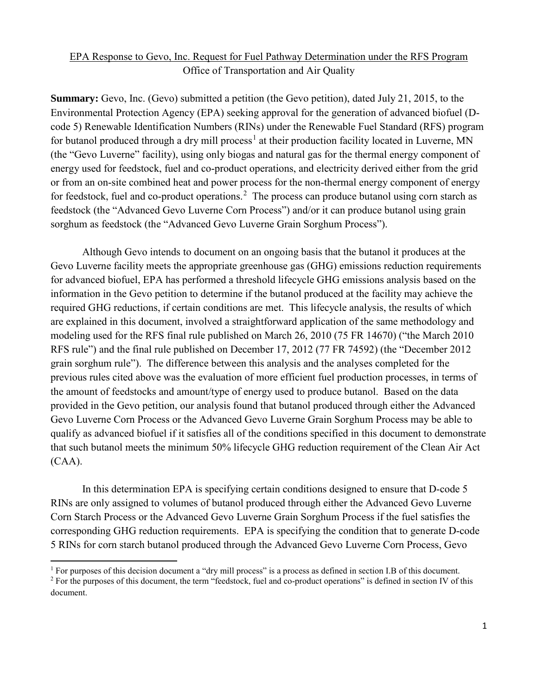## EPA Response to Gevo, Inc. Request for Fuel Pathway Determination under the RFS Program Office of Transportation and Air Quality

**Summary:** Gevo, Inc. (Gevo) submitted a petition (the Gevo petition), dated July 21, 2015, to the Environmental Protection Agency (EPA) seeking approval for the generation of advanced biofuel (Dcode 5) Renewable Identification Numbers (RINs) under the Renewable Fuel Standard (RFS) program for butanol produced through a dry mill process<sup>[1](#page-2-0)</sup> at their production facility located in Luverne, MN (the "Gevo Luverne" facility), using only biogas and natural gas for the thermal energy component of energy used for feedstock, fuel and co-product operations, and electricity derived either from the grid or from an on-site combined heat and power process for the non-thermal energy component of energy for feedstock, fuel and co-product operations.<sup>[2](#page-2-1)</sup> The process can produce butanol using corn starch as feedstock (the "Advanced Gevo Luverne Corn Process") and/or it can produce butanol using grain sorghum as feedstock (the "Advanced Gevo Luverne Grain Sorghum Process").

Although Gevo intends to document on an ongoing basis that the butanol it produces at the Gevo Luverne facility meets the appropriate greenhouse gas (GHG) emissions reduction requirements for advanced biofuel, EPA has performed a threshold lifecycle GHG emissions analysis based on the information in the Gevo petition to determine if the butanol produced at the facility may achieve the required GHG reductions, if certain conditions are met. This lifecycle analysis, the results of which are explained in this document, involved a straightforward application of the same methodology and modeling used for the RFS final rule published on March 26, 2010 (75 FR 14670) ("the March 2010 RFS rule") and the final rule published on December 17, 2012 (77 FR 74592) (the "December 2012 grain sorghum rule"). The difference between this analysis and the analyses completed for the previous rules cited above was the evaluation of more efficient fuel production processes, in terms of the amount of feedstocks and amount/type of energy used to produce butanol. Based on the data provided in the Gevo petition, our analysis found that butanol produced through either the Advanced Gevo Luverne Corn Process or the Advanced Gevo Luverne Grain Sorghum Process may be able to qualify as advanced biofuel if it satisfies all of the conditions specified in this document to demonstrate that such butanol meets the minimum 50% lifecycle GHG reduction requirement of the Clean Air Act (CAA).

In this determination EPA is specifying certain conditions designed to ensure that D-code 5 RINs are only assigned to volumes of butanol produced through either the Advanced Gevo Luverne Corn Starch Process or the Advanced Gevo Luverne Grain Sorghum Process if the fuel satisfies the corresponding GHG reduction requirements. EPA is specifying the condition that to generate D-code 5 RINs for corn starch butanol produced through the Advanced Gevo Luverne Corn Process, Gevo

<span id="page-2-0"></span><sup>&</sup>lt;sup>1</sup> For purposes of this decision document a "dry mill process" is a process as defined in section I.B of this document.

<span id="page-2-1"></span> $2$  For the purposes of this document, the term "feedstock, fuel and co-product operations" is defined in section IV of this document.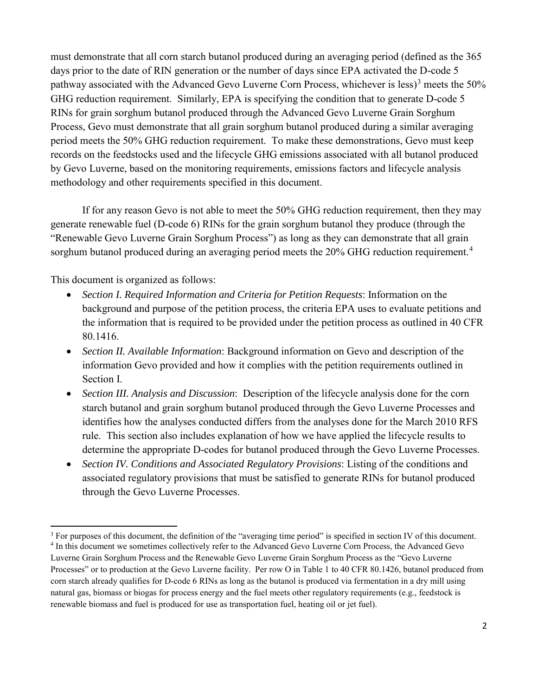must demonstrate that all corn starch butanol produced during an averaging period (defined as the 365 days prior to the date of RIN generation or the number of days since EPA activated the D-code 5 pathway associated with the Advanced Gevo Luverne Corn Process, whichever is less)<sup>[3](#page-3-0)</sup> meets the 50% GHG reduction requirement. Similarly, EPA is specifying the condition that to generate D-code 5 RINs for grain sorghum butanol produced through the Advanced Gevo Luverne Grain Sorghum Process, Gevo must demonstrate that all grain sorghum butanol produced during a similar averaging period meets the 50% GHG reduction requirement. To make these demonstrations, Gevo must keep records on the feedstocks used and the lifecycle GHG emissions associated with all butanol produced by Gevo Luverne, based on the monitoring requirements, emissions factors and lifecycle analysis methodology and other requirements specified in this document.

If for any reason Gevo is not able to meet the 50% GHG reduction requirement, then they may generate renewable fuel (D-code 6) RINs for the grain sorghum butanol they produce (through the "Renewable Gevo Luverne Grain Sorghum Process") as long as they can demonstrate that all grain sorghum butanol produced during an averaging period meets the 20% GHG reduction requirement.<sup>[4](#page-3-1)</sup>

This document is organized as follows:

- *Section I. Required Information and Criteria for Petition Requests*: Information on the background and purpose of the petition process, the criteria EPA uses to evaluate petitions and the information that is required to be provided under the petition process as outlined in 40 CFR 80.1416.
- *Section II. Available Information*: Background information on Gevo and description of the information Gevo provided and how it complies with the petition requirements outlined in Section I.
- *Section III. Analysis and Discussion*: Description of the lifecycle analysis done for the corn starch butanol and grain sorghum butanol produced through the Gevo Luverne Processes and identifies how the analyses conducted differs from the analyses done for the March 2010 RFS rule. This section also includes explanation of how we have applied the lifecycle results to determine the appropriate D-codes for butanol produced through the Gevo Luverne Processes.
- *Section IV. Conditions and Associated Regulatory Provisions*: Listing of the conditions and associated regulatory provisions that must be satisfied to generate RINs for butanol produced through the Gevo Luverne Processes.

<span id="page-3-0"></span> $3$  For purposes of this document, the definition of the "averaging time period" is specified in section IV of this document.

<span id="page-3-1"></span><sup>4</sup> In this document we sometimes collectively refer to the Advanced Gevo Luverne Corn Process, the Advanced Gevo Luverne Grain Sorghum Process and the Renewable Gevo Luverne Grain Sorghum Process as the "Gevo Luverne Processes" or to production at the Gevo Luverne facility. Per row O in Table 1 to 40 CFR 80.1426, butanol produced from corn starch already qualifies for D-code 6 RINs as long as the butanol is produced via fermentation in a dry mill using natural gas, biomass or biogas for process energy and the fuel meets other regulatory requirements (e.g., feedstock is renewable biomass and fuel is produced for use as transportation fuel, heating oil or jet fuel).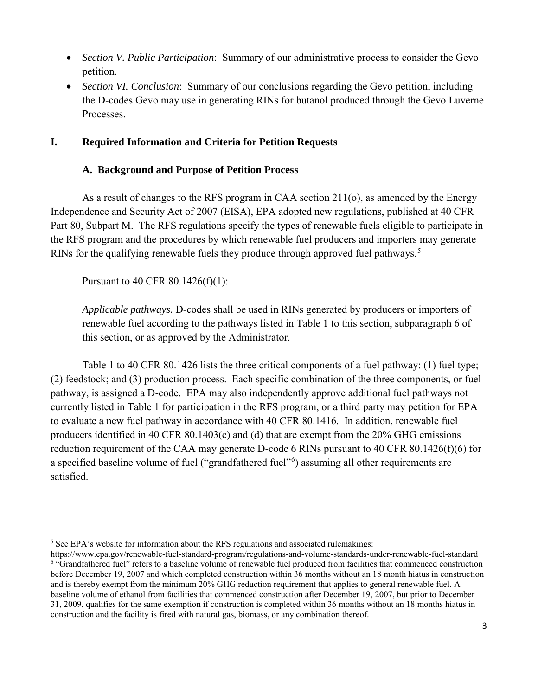- *Section V. Public Participation*: Summary of our administrative process to consider the Gevo petition.
- *Section VI. Conclusion*: Summary of our conclusions regarding the Gevo petition, including the D-codes Gevo may use in generating RINs for butanol produced through the Gevo Luverne **Processes**

## **I. Required Information and Criteria for Petition Requests**

## **A. Background and Purpose of Petition Process**

As a result of changes to the RFS program in CAA section 211(o), as amended by the Energy Independence and Security Act of 2007 (EISA), EPA adopted new regulations, published at 40 CFR Part 80, Subpart M. The RFS regulations specify the types of renewable fuels eligible to participate in the RFS program and the procedures by which renewable fuel producers and importers may generate RINs for the qualifying renewable fuels they produce through approved fuel pathways.<sup>[5](#page-4-0)</sup>

Pursuant to 40 CFR 80.1426(f)(1):

*Applicable pathways.* D-codes shall be used in RINs generated by producers or importers of renewable fuel according to the pathways listed in Table 1 to this section, subparagraph 6 of this section, or as approved by the Administrator.

Table 1 to 40 CFR 80.1426 lists the three critical components of a fuel pathway: (1) fuel type; (2) feedstock; and (3) production process. Each specific combination of the three components, or fuel pathway, is assigned a D-code. EPA may also independently approve additional fuel pathways not currently listed in Table 1 for participation in the RFS program, or a third party may petition for EPA to evaluate a new fuel pathway in accordance with 40 CFR 80.1416. In addition, renewable fuel producers identified in 40 CFR 80.1403(c) and (d) that are exempt from the 20% GHG emissions reduction requirement of the CAA may generate D-code 6 RINs pursuant to 40 CFR 80.1426(f)(6) for a specified baseline volume of fuel ("grandfathered fuel"<sup>[6](#page-4-1)</sup>) assuming all other requirements are satisfied.

<span id="page-4-0"></span> $\overline{a}$ <sup>5</sup> See EPA's website for information about the RFS regulations and associated rulemakings:

<span id="page-4-1"></span>https://www.epa.gov/renewable-fuel-standard-program/regulations-and-volume-standards-under-renewable-fuel-standard <sup>6</sup> "Grandfathered fuel" refers to a baseline volume of renewable fuel produced from facilities that commenced construction before December 19, 2007 and which completed construction within 36 months without an 18 month hiatus in construction and is thereby exempt from the minimum 20% GHG reduction requirement that applies to general renewable fuel. A baseline volume of ethanol from facilities that commenced construction after December 19, 2007, but prior to December 31, 2009, qualifies for the same exemption if construction is completed within 36 months without an 18 months hiatus in construction and the facility is fired with natural gas, biomass, or any combination thereof.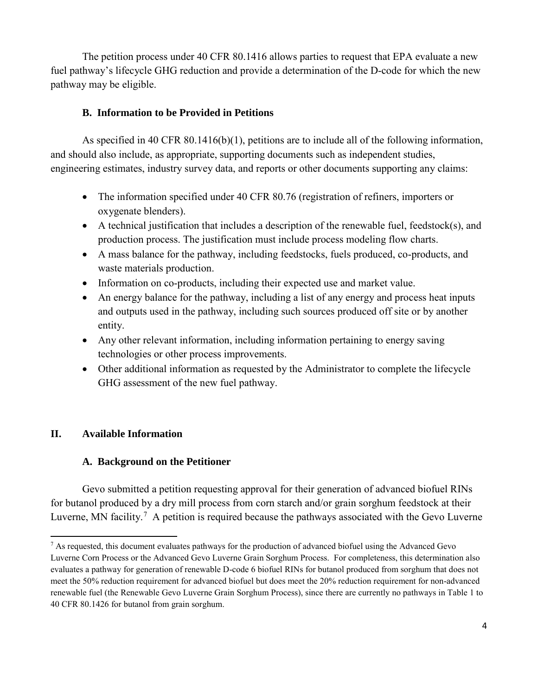The petition process under 40 CFR 80.1416 allows parties to request that EPA evaluate a new fuel pathway's lifecycle GHG reduction and provide a determination of the D-code for which the new pathway may be eligible.

## **B. Information to be Provided in Petitions**

As specified in 40 CFR 80.1416(b)(1), petitions are to include all of the following information, and should also include, as appropriate, supporting documents such as independent studies, engineering estimates, industry survey data, and reports or other documents supporting any claims:

- The information specified under 40 CFR 80.76 (registration of refiners, importers or oxygenate blenders).
- A technical justification that includes a description of the renewable fuel, feedstock(s), and production process. The justification must include process modeling flow charts.
- A mass balance for the pathway, including feedstocks, fuels produced, co-products, and waste materials production.
- Information on co-products, including their expected use and market value.
- An energy balance for the pathway, including a list of any energy and process heat inputs and outputs used in the pathway, including such sources produced off site or by another entity.
- Any other relevant information, including information pertaining to energy saving technologies or other process improvements.
- Other additional information as requested by the Administrator to complete the lifecycle GHG assessment of the new fuel pathway.

# **II. Available Information**

 $\overline{a}$ 

## **A. Background on the Petitioner**

Gevo submitted a petition requesting approval for their generation of advanced biofuel RINs for butanol produced by a dry mill process from corn starch and/or grain sorghum feedstock at their Luverne, MN facility.<sup>[7](#page-5-0)</sup> A petition is required because the pathways associated with the Gevo Luverne

<span id="page-5-0"></span> $<sup>7</sup>$  As requested, this document evaluates pathways for the production of advanced biofuel using the Advanced Gevo</sup> Luverne Corn Process or the Advanced Gevo Luverne Grain Sorghum Process. For completeness, this determination also evaluates a pathway for generation of renewable D-code 6 biofuel RINs for butanol produced from sorghum that does not meet the 50% reduction requirement for advanced biofuel but does meet the 20% reduction requirement for non-advanced renewable fuel (the Renewable Gevo Luverne Grain Sorghum Process), since there are currently no pathways in Table 1 to 40 CFR 80.1426 for butanol from grain sorghum.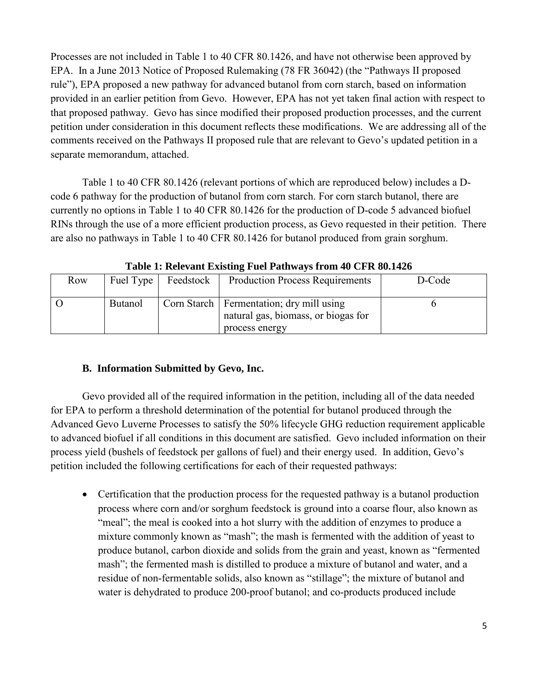Processes are not included in Table 1 to 40 CFR 80.1426, and have not otherwise been approved by EPA. In a June 2013 Notice of Proposed Rulemaking (78 FR 36042) (the "Pathways II proposed rule"), EPA proposed a new pathway for advanced butanol from corn starch, based on information provided in an earlier petition from Gevo. However, EPA has not yet taken final action with respect to that proposed pathway. Gevo has since modified their proposed production processes, and the current petition under consideration in this document reflects these modifications. We are addressing all of the comments received on the Pathways II proposed rule that are relevant to Gevo's updated petition in a separate memorandum, attached.

Table 1 to 40 CFR 80.1426 (relevant portions of which are reproduced below) includes a Dcode 6 pathway for the production of butanol from corn starch. For corn starch butanol, there are currently no options in Table 1 to 40 CFR 80.1426 for the production of D-code 5 advanced biofuel RINs through the use of a more efficient production process, as Gevo requested in their petition. There are also no pathways in Table 1 to 40 CFR 80.1426 for butanol produced from grain sorghum.

| Row | Fuel Type      | Feedstock | <b>Production Process Requirements</b>                                                              | D-Code |
|-----|----------------|-----------|-----------------------------------------------------------------------------------------------------|--------|
|     | <b>Butanol</b> |           | Corn Starch   Fermentation; dry mill using<br>natural gas, biomass, or biogas for<br>process energy |        |

**Table 1: Relevant Existing Fuel Pathways from 40 CFR 80.1426** 

# **B. Information Submitted by Gevo, Inc.**

Gevo provided all of the required information in the petition, including all of the data needed for EPA to perform a threshold determination of the potential for butanol produced through the Advanced Gevo Luverne Processes to satisfy the 50% lifecycle GHG reduction requirement applicable to advanced biofuel if all conditions in this document are satisfied. Gevo included information on their process yield (bushels of feedstock per gallons of fuel) and their energy used. In addition, Gevo's petition included the following certifications for each of their requested pathways:

• Certification that the production process for the requested pathway is a butanol production process where corn and/or sorghum feedstock is ground into a coarse flour, also known as "meal"; the meal is cooked into a hot slurry with the addition of enzymes to produce a mixture commonly known as "mash"; the mash is fermented with the addition of yeast to produce butanol, carbon dioxide and solids from the grain and yeast, known as "fermented mash"; the fermented mash is distilled to produce a mixture of butanol and water, and a residue of non-fermentable solids, also known as "stillage"; the mixture of butanol and water is dehydrated to produce 200-proof butanol; and co-products produced include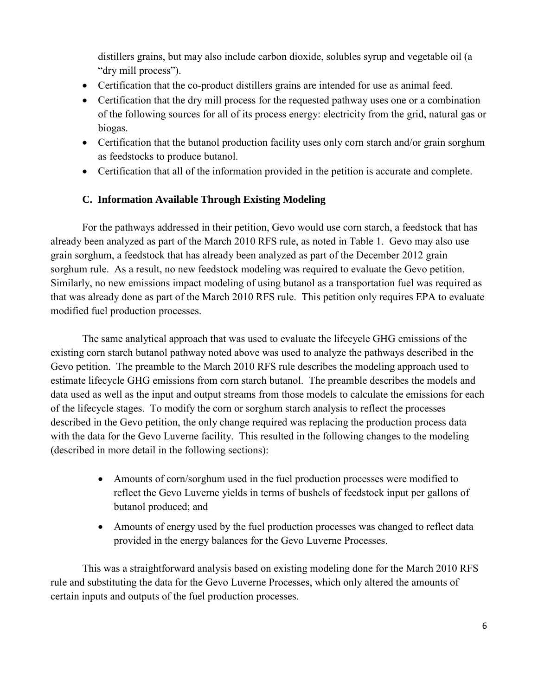distillers grains, but may also include carbon dioxide, solubles syrup and vegetable oil (a "dry mill process").

- Certification that the co-product distillers grains are intended for use as animal feed.
- Certification that the dry mill process for the requested pathway uses one or a combination of the following sources for all of its process energy: electricity from the grid, natural gas or biogas.
- Certification that the butanol production facility uses only corn starch and/or grain sorghum as feedstocks to produce butanol.
- Certification that all of the information provided in the petition is accurate and complete.

## **C. Information Available Through Existing Modeling**

For the pathways addressed in their petition, Gevo would use corn starch, a feedstock that has already been analyzed as part of the March 2010 RFS rule, as noted in Table 1. Gevo may also use grain sorghum, a feedstock that has already been analyzed as part of the December 2012 grain sorghum rule. As a result, no new feedstock modeling was required to evaluate the Gevo petition. Similarly, no new emissions impact modeling of using butanol as a transportation fuel was required as that was already done as part of the March 2010 RFS rule. This petition only requires EPA to evaluate modified fuel production processes.

The same analytical approach that was used to evaluate the lifecycle GHG emissions of the existing corn starch butanol pathway noted above was used to analyze the pathways described in the Gevo petition. The preamble to the March 2010 RFS rule describes the modeling approach used to estimate lifecycle GHG emissions from corn starch butanol. The preamble describes the models and data used as well as the input and output streams from those models to calculate the emissions for each of the lifecycle stages. To modify the corn or sorghum starch analysis to reflect the processes described in the Gevo petition, the only change required was replacing the production process data with the data for the Gevo Luverne facility. This resulted in the following changes to the modeling (described in more detail in the following sections):

- Amounts of corn/sorghum used in the fuel production processes were modified to reflect the Gevo Luverne yields in terms of bushels of feedstock input per gallons of butanol produced; and
- Amounts of energy used by the fuel production processes was changed to reflect data provided in the energy balances for the Gevo Luverne Processes.

This was a straightforward analysis based on existing modeling done for the March 2010 RFS rule and substituting the data for the Gevo Luverne Processes, which only altered the amounts of certain inputs and outputs of the fuel production processes.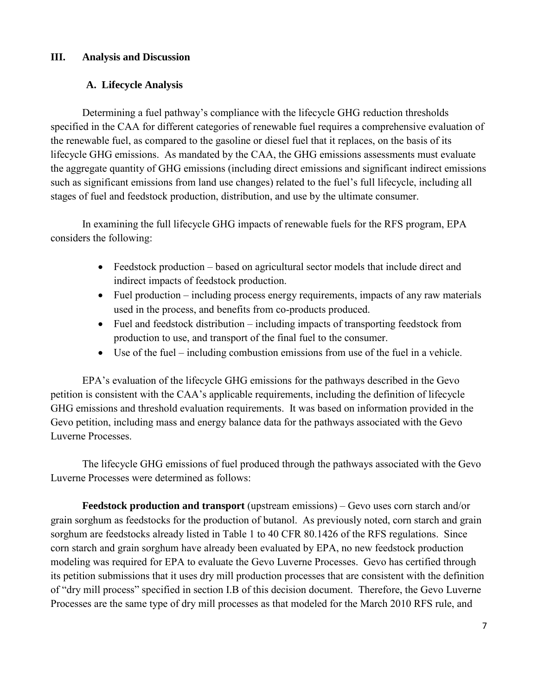## **III. Analysis and Discussion**

# **A. Lifecycle Analysis**

Determining a fuel pathway's compliance with the lifecycle GHG reduction thresholds specified in the CAA for different categories of renewable fuel requires a comprehensive evaluation of the renewable fuel, as compared to the gasoline or diesel fuel that it replaces, on the basis of its lifecycle GHG emissions. As mandated by the CAA, the GHG emissions assessments must evaluate the aggregate quantity of GHG emissions (including direct emissions and significant indirect emissions such as significant emissions from land use changes) related to the fuel's full lifecycle, including all stages of fuel and feedstock production, distribution, and use by the ultimate consumer.

In examining the full lifecycle GHG impacts of renewable fuels for the RFS program, EPA considers the following:

- Feedstock production based on agricultural sector models that include direct and indirect impacts of feedstock production.
- Fuel production including process energy requirements, impacts of any raw materials used in the process, and benefits from co-products produced.
- Fuel and feedstock distribution including impacts of transporting feedstock from production to use, and transport of the final fuel to the consumer.
- Use of the fuel including combustion emissions from use of the fuel in a vehicle.

EPA's evaluation of the lifecycle GHG emissions for the pathways described in the Gevo petition is consistent with the CAA's applicable requirements, including the definition of lifecycle GHG emissions and threshold evaluation requirements. It was based on information provided in the Gevo petition, including mass and energy balance data for the pathways associated with the Gevo Luverne Processes.

The lifecycle GHG emissions of fuel produced through the pathways associated with the Gevo Luverne Processes were determined as follows:

**Feedstock production and transport** (upstream emissions) – Gevo uses corn starch and/or grain sorghum as feedstocks for the production of butanol. As previously noted, corn starch and grain sorghum are feedstocks already listed in Table 1 to 40 CFR 80.1426 of the RFS regulations. Since corn starch and grain sorghum have already been evaluated by EPA, no new feedstock production modeling was required for EPA to evaluate the Gevo Luverne Processes. Gevo has certified through its petition submissions that it uses dry mill production processes that are consistent with the definition of "dry mill process" specified in section I.B of this decision document. Therefore, the Gevo Luverne Processes are the same type of dry mill processes as that modeled for the March 2010 RFS rule, and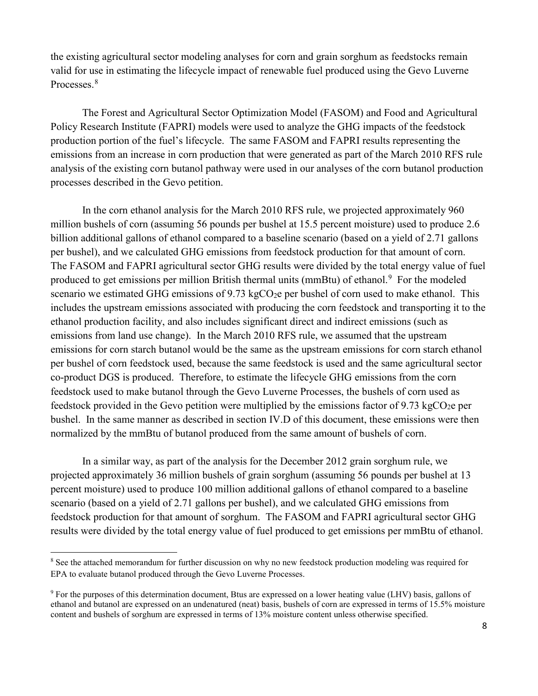the existing agricultural sector modeling analyses for corn and grain sorghum as feedstocks remain valid for use in estimating the lifecycle impact of renewable fuel produced using the Gevo Luverne Processes.<sup>[8](#page-9-0)</sup>

The Forest and Agricultural Sector Optimization Model (FASOM) and Food and Agricultural Policy Research Institute (FAPRI) models were used to analyze the GHG impacts of the feedstock production portion of the fuel's lifecycle. The same FASOM and FAPRI results representing the emissions from an increase in corn production that were generated as part of the March 2010 RFS rule analysis of the existing corn butanol pathway were used in our analyses of the corn butanol production processes described in the Gevo petition.

In the corn ethanol analysis for the March 2010 RFS rule, we projected approximately 960 million bushels of corn (assuming 56 pounds per bushel at 15.5 percent moisture) used to produce 2.6 billion additional gallons of ethanol compared to a baseline scenario (based on a yield of 2.71 gallons per bushel), and we calculated GHG emissions from feedstock production for that amount of corn. The FASOM and FAPRI agricultural sector GHG results were divided by the total energy value of fuel produced to get emissions per million British thermal units (mmBtu) of ethanol.<sup>[9](#page-9-1)</sup> For the modeled scenario we estimated GHG emissions of  $9.73 \text{ kgCO}_2$ e per bushel of corn used to make ethanol. This includes the upstream emissions associated with producing the corn feedstock and transporting it to the ethanol production facility, and also includes significant direct and indirect emissions (such as emissions from land use change). In the March 2010 RFS rule, we assumed that the upstream emissions for corn starch butanol would be the same as the upstream emissions for corn starch ethanol per bushel of corn feedstock used, because the same feedstock is used and the same agricultural sector co-product DGS is produced. Therefore, to estimate the lifecycle GHG emissions from the corn feedstock used to make butanol through the Gevo Luverne Processes, the bushels of corn used as feedstock provided in the Gevo petition were multiplied by the emissions factor of 9.73 kgCO<sub>2</sub>e per bushel. In the same manner as described in section IV.D of this document, these emissions were then normalized by the mmBtu of butanol produced from the same amount of bushels of corn.

In a similar way, as part of the analysis for the December 2012 grain sorghum rule, we projected approximately 36 million bushels of grain sorghum (assuming 56 pounds per bushel at 13 percent moisture) used to produce 100 million additional gallons of ethanol compared to a baseline scenario (based on a yield of 2.71 gallons per bushel), and we calculated GHG emissions from feedstock production for that amount of sorghum. The FASOM and FAPRI agricultural sector GHG results were divided by the total energy value of fuel produced to get emissions per mmBtu of ethanol.

<span id="page-9-0"></span><sup>&</sup>lt;sup>8</sup> See the attached memorandum for further discussion on why no new feedstock production modeling was required for EPA to evaluate butanol produced through the Gevo Luverne Processes.

<span id="page-9-1"></span><sup>9</sup> For the purposes of this determination document, Btus are expressed on a lower heating value (LHV) basis, gallons of ethanol and butanol are expressed on an undenatured (neat) basis, bushels of corn are expressed in terms of 15.5% moisture content and bushels of sorghum are expressed in terms of 13% moisture content unless otherwise specified.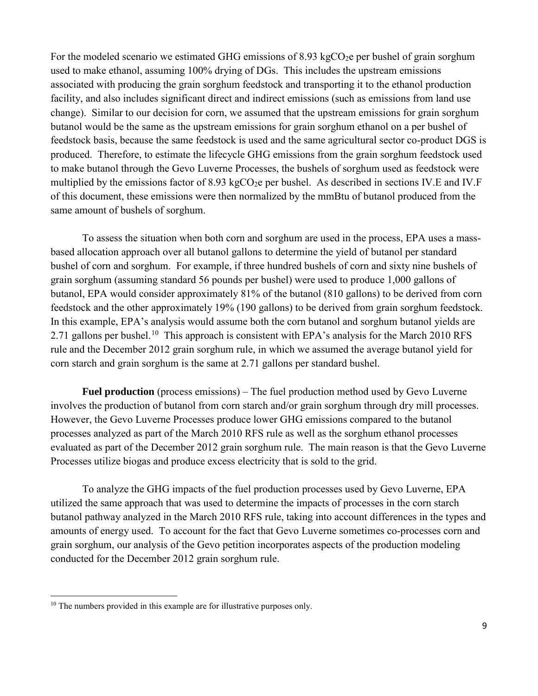For the modeled scenario we estimated GHG emissions of  $8.93 \text{ kgCO}_2$  per bushel of grain sorghum used to make ethanol, assuming 100% drying of DGs. This includes the upstream emissions associated with producing the grain sorghum feedstock and transporting it to the ethanol production facility, and also includes significant direct and indirect emissions (such as emissions from land use change). Similar to our decision for corn, we assumed that the upstream emissions for grain sorghum butanol would be the same as the upstream emissions for grain sorghum ethanol on a per bushel of feedstock basis, because the same feedstock is used and the same agricultural sector co-product DGS is produced. Therefore, to estimate the lifecycle GHG emissions from the grain sorghum feedstock used to make butanol through the Gevo Luverne Processes, the bushels of sorghum used as feedstock were multiplied by the emissions factor of 8.93 kgCO<sub>2</sub>e per bushel. As described in sections IV.E and IV.F of this document, these emissions were then normalized by the mmBtu of butanol produced from the same amount of bushels of sorghum.

To assess the situation when both corn and sorghum are used in the process, EPA uses a massbased allocation approach over all butanol gallons to determine the yield of butanol per standard bushel of corn and sorghum. For example, if three hundred bushels of corn and sixty nine bushels of grain sorghum (assuming standard 56 pounds per bushel) were used to produce 1,000 gallons of butanol, EPA would consider approximately 81% of the butanol (810 gallons) to be derived from corn feedstock and the other approximately 19% (190 gallons) to be derived from grain sorghum feedstock. In this example, EPA's analysis would assume both the corn butanol and sorghum butanol yields are 2.71 gallons per bushel.<sup>10</sup> This approach is consistent with EPA's analysis for the March 20[10](#page-10-0) RFS rule and the December 2012 grain sorghum rule, in which we assumed the average butanol yield for corn starch and grain sorghum is the same at 2.71 gallons per standard bushel.

**Fuel production** (process emissions) – The fuel production method used by Gevo Luverne involves the production of butanol from corn starch and/or grain sorghum through dry mill processes. However, the Gevo Luverne Processes produce lower GHG emissions compared to the butanol processes analyzed as part of the March 2010 RFS rule as well as the sorghum ethanol processes evaluated as part of the December 2012 grain sorghum rule. The main reason is that the Gevo Luverne Processes utilize biogas and produce excess electricity that is sold to the grid.

To analyze the GHG impacts of the fuel production processes used by Gevo Luverne, EPA utilized the same approach that was used to determine the impacts of processes in the corn starch butanol pathway analyzed in the March 2010 RFS rule, taking into account differences in the types and amounts of energy used. To account for the fact that Gevo Luverne sometimes co-processes corn and grain sorghum, our analysis of the Gevo petition incorporates aspects of the production modeling conducted for the December 2012 grain sorghum rule.

<span id="page-10-0"></span><sup>&</sup>lt;sup>10</sup> The numbers provided in this example are for illustrative purposes only.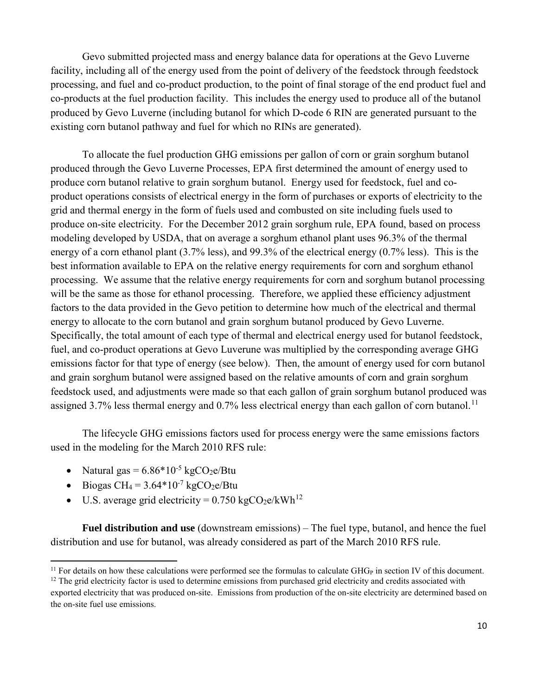Gevo submitted projected mass and energy balance data for operations at the Gevo Luverne facility, including all of the energy used from the point of delivery of the feedstock through feedstock processing, and fuel and co-product production, to the point of final storage of the end product fuel and co-products at the fuel production facility. This includes the energy used to produce all of the butanol produced by Gevo Luverne (including butanol for which D-code 6 RIN are generated pursuant to the existing corn butanol pathway and fuel for which no RINs are generated).

To allocate the fuel production GHG emissions per gallon of corn or grain sorghum butanol produced through the Gevo Luverne Processes, EPA first determined the amount of energy used to produce corn butanol relative to grain sorghum butanol. Energy used for feedstock, fuel and coproduct operations consists of electrical energy in the form of purchases or exports of electricity to the grid and thermal energy in the form of fuels used and combusted on site including fuels used to produce on-site electricity. For the December 2012 grain sorghum rule, EPA found, based on process modeling developed by USDA, that on average a sorghum ethanol plant uses 96.3% of the thermal energy of a corn ethanol plant (3.7% less), and 99.3% of the electrical energy (0.7% less). This is the best information available to EPA on the relative energy requirements for corn and sorghum ethanol processing. We assume that the relative energy requirements for corn and sorghum butanol processing will be the same as those for ethanol processing. Therefore, we applied these efficiency adjustment factors to the data provided in the Gevo petition to determine how much of the electrical and thermal energy to allocate to the corn butanol and grain sorghum butanol produced by Gevo Luverne. Specifically, the total amount of each type of thermal and electrical energy used for butanol feedstock, fuel, and co-product operations at Gevo Luverune was multiplied by the corresponding average GHG emissions factor for that type of energy (see below). Then, the amount of energy used for corn butanol and grain sorghum butanol were assigned based on the relative amounts of corn and grain sorghum feedstock used, and adjustments were made so that each gallon of grain sorghum butanol produced was assigned 3.7% less thermal energy and  $0.7\%$  less electrical energy than each gallon of corn butanol.<sup>11</sup>

The lifecycle GHG emissions factors used for process energy were the same emissions factors used in the modeling for the March 2010 RFS rule:

- Natural gas  $= 6.86*10<sup>-5</sup>$  kgCO<sub>2</sub>e/Btu
- Biogas CH<sub>4</sub> =  $3.64*10^{-7}$  kgCO<sub>2</sub>e/Btu

 $\overline{a}$ 

• U.S. average grid electricity =  $0.750 \text{ kgCO}_2\text{e}/\text{kWh}^{12}$  $0.750 \text{ kgCO}_2\text{e}/\text{kWh}^{12}$  $0.750 \text{ kgCO}_2\text{e}/\text{kWh}^{12}$ 

**Fuel distribution and use** (downstream emissions) – The fuel type, butanol, and hence the fuel distribution and use for butanol, was already considered as part of the March 2010 RFS rule.

<span id="page-11-0"></span> $11$  For details on how these calculations were performed see the formulas to calculate GHG<sub>P</sub> in section IV of this document.

<span id="page-11-1"></span> $12$  The grid electricity factor is used to determine emissions from purchased grid electricity and credits associated with exported electricity that was produced on-site. Emissions from production of the on-site electricity are determined based on the on-site fuel use emissions.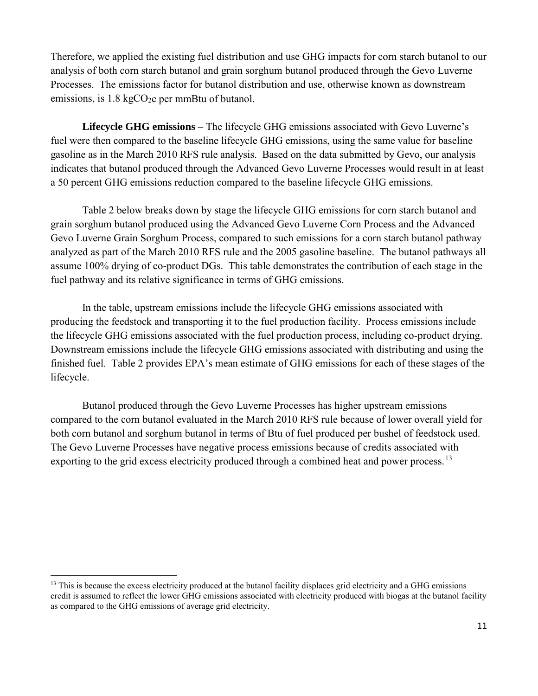Therefore, we applied the existing fuel distribution and use GHG impacts for corn starch butanol to our analysis of both corn starch butanol and grain sorghum butanol produced through the Gevo Luverne Processes. The emissions factor for butanol distribution and use, otherwise known as downstream emissions, is  $1.8 \text{ kgCO}_2$ e per mmBtu of butanol.

**Lifecycle GHG emissions** – The lifecycle GHG emissions associated with Gevo Luverne's fuel were then compared to the baseline lifecycle GHG emissions, using the same value for baseline gasoline as in the March 2010 RFS rule analysis. Based on the data submitted by Gevo, our analysis indicates that butanol produced through the Advanced Gevo Luverne Processes would result in at least a 50 percent GHG emissions reduction compared to the baseline lifecycle GHG emissions.

Table 2 below breaks down by stage the lifecycle GHG emissions for corn starch butanol and grain sorghum butanol produced using the Advanced Gevo Luverne Corn Process and the Advanced Gevo Luverne Grain Sorghum Process, compared to such emissions for a corn starch butanol pathway analyzed as part of the March 2010 RFS rule and the 2005 gasoline baseline. The butanol pathways all assume 100% drying of co-product DGs. This table demonstrates the contribution of each stage in the fuel pathway and its relative significance in terms of GHG emissions.

In the table, upstream emissions include the lifecycle GHG emissions associated with producing the feedstock and transporting it to the fuel production facility. Process emissions include the lifecycle GHG emissions associated with the fuel production process, including co-product drying. Downstream emissions include the lifecycle GHG emissions associated with distributing and using the finished fuel. Table 2 provides EPA's mean estimate of GHG emissions for each of these stages of the lifecycle.

Butanol produced through the Gevo Luverne Processes has higher upstream emissions compared to the corn butanol evaluated in the March 2010 RFS rule because of lower overall yield for both corn butanol and sorghum butanol in terms of Btu of fuel produced per bushel of feedstock used. The Gevo Luverne Processes have negative process emissions because of credits associated with exporting to the grid excess electricity produced through a combined heat and power process.<sup>13</sup>

<span id="page-12-0"></span><sup>&</sup>lt;sup>13</sup> This is because the excess electricity produced at the butanol facility displaces grid electricity and a GHG emissions credit is assumed to reflect the lower GHG emissions associated with electricity produced with biogas at the butanol facility as compared to the GHG emissions of average grid electricity.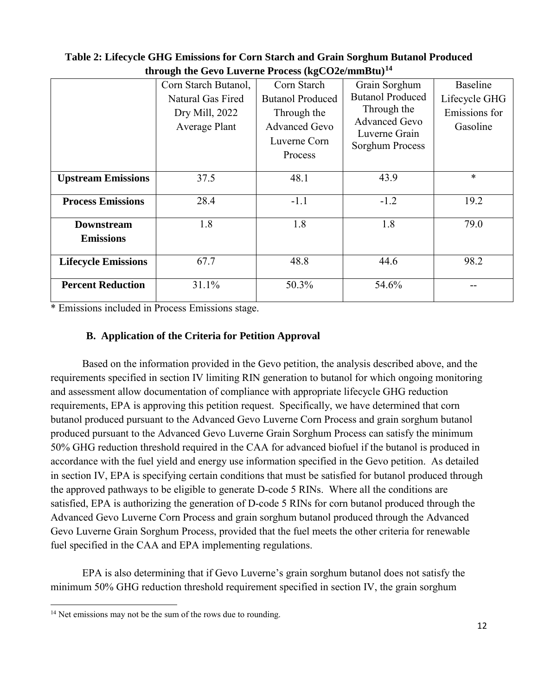|                            | $\mathbf{m}$ organized the construction $\mathbf{m}$ and $\mathbf{m}$ and $\mathbf{m}$ |                                                     |                                                                         |                           |
|----------------------------|----------------------------------------------------------------------------------------|-----------------------------------------------------|-------------------------------------------------------------------------|---------------------------|
|                            | Corn Starch Butanol,                                                                   | Corn Starch                                         | Grain Sorghum                                                           | <b>Baseline</b>           |
|                            | Natural Gas Fired                                                                      | <b>Butanol Produced</b>                             | <b>Butanol Produced</b>                                                 | Lifecycle GHG             |
|                            | Dry Mill, 2022<br>Average Plant                                                        | Through the<br><b>Advanced Gevo</b><br>Luverne Corn | Through the<br><b>Advanced Gevo</b><br>Luverne Grain<br>Sorghum Process | Emissions for<br>Gasoline |
|                            |                                                                                        | Process                                             |                                                                         |                           |
| <b>Upstream Emissions</b>  | 37.5                                                                                   | 48.1                                                | 43.9                                                                    | $\ast$                    |
| <b>Process Emissions</b>   | 28.4                                                                                   | $-1.1$                                              | $-1.2$                                                                  | 19.2                      |
| <b>Downstream</b>          | 1.8                                                                                    | 1.8                                                 | 1.8                                                                     | 79.0                      |
| <b>Emissions</b>           |                                                                                        |                                                     |                                                                         |                           |
| <b>Lifecycle Emissions</b> | 67.7                                                                                   | 48.8                                                | 44.6                                                                    | 98.2                      |
| <b>Percent Reduction</b>   | 31.1%                                                                                  | 50.3%                                               | 54.6%                                                                   | --                        |

## **Table 2: Lifecycle GHG Emissions for Corn Starch and Grain Sorghum Butanol Produced through the Gevo Luverne Process (kgCO2e/mmBtu)[14](#page-13-0)**

\* Emissions included in Process Emissions stage.

# **B. Application of the Criteria for Petition Approval**

Based on the information provided in the Gevo petition, the analysis described above, and the requirements specified in section IV limiting RIN generation to butanol for which ongoing monitoring and assessment allow documentation of compliance with appropriate lifecycle GHG reduction requirements, EPA is approving this petition request. Specifically, we have determined that corn butanol produced pursuant to the Advanced Gevo Luverne Corn Process and grain sorghum butanol produced pursuant to the Advanced Gevo Luverne Grain Sorghum Process can satisfy the minimum 50% GHG reduction threshold required in the CAA for advanced biofuel if the butanol is produced in accordance with the fuel yield and energy use information specified in the Gevo petition. As detailed in section IV, EPA is specifying certain conditions that must be satisfied for butanol produced through the approved pathways to be eligible to generate D-code 5 RINs. Where all the conditions are satisfied, EPA is authorizing the generation of D-code 5 RINs for corn butanol produced through the Advanced Gevo Luverne Corn Process and grain sorghum butanol produced through the Advanced Gevo Luverne Grain Sorghum Process, provided that the fuel meets the other criteria for renewable fuel specified in the CAA and EPA implementing regulations.

EPA is also determining that if Gevo Luverne's grain sorghum butanol does not satisfy the minimum 50% GHG reduction threshold requirement specified in section IV, the grain sorghum

<span id="page-13-0"></span><sup>&</sup>lt;sup>14</sup> Net emissions may not be the sum of the rows due to rounding.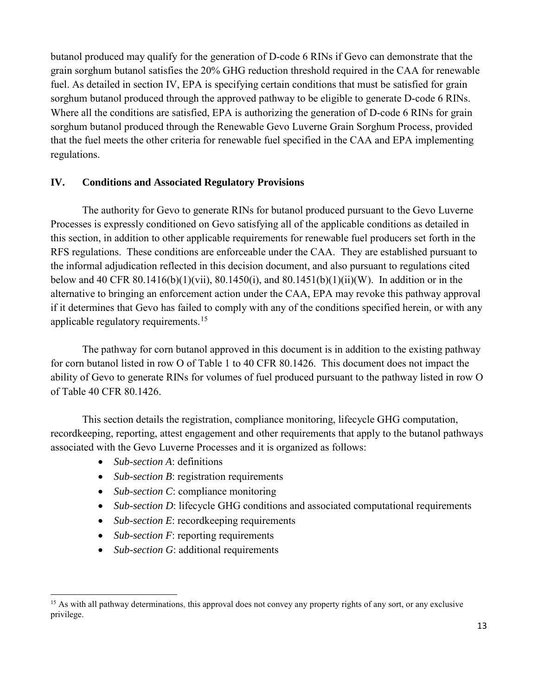butanol produced may qualify for the generation of D-code 6 RINs if Gevo can demonstrate that the grain sorghum butanol satisfies the 20% GHG reduction threshold required in the CAA for renewable fuel. As detailed in section IV, EPA is specifying certain conditions that must be satisfied for grain sorghum butanol produced through the approved pathway to be eligible to generate D-code 6 RINs. Where all the conditions are satisfied, EPA is authorizing the generation of D-code 6 RINs for grain sorghum butanol produced through the Renewable Gevo Luverne Grain Sorghum Process, provided that the fuel meets the other criteria for renewable fuel specified in the CAA and EPA implementing regulations.

## **IV. Conditions and Associated Regulatory Provisions**

The authority for Gevo to generate RINs for butanol produced pursuant to the Gevo Luverne Processes is expressly conditioned on Gevo satisfying all of the applicable conditions as detailed in this section, in addition to other applicable requirements for renewable fuel producers set forth in the RFS regulations. These conditions are enforceable under the CAA. They are established pursuant to the informal adjudication reflected in this decision document, and also pursuant to regulations cited below and 40 CFR  $80.1416(b)(1)(vi)$ ,  $80.1450(i)$ , and  $80.1451(b)(1)(ii)(W)$ . In addition or in the alternative to bringing an enforcement action under the CAA, EPA may revoke this pathway approval if it determines that Gevo has failed to comply with any of the conditions specified herein, or with any applicable regulatory requirements. [15](#page-14-0) 

The pathway for corn butanol approved in this document is in addition to the existing pathway for corn butanol listed in row O of Table 1 to 40 CFR 80.1426. This document does not impact the ability of Gevo to generate RINs for volumes of fuel produced pursuant to the pathway listed in row O of Table 40 CFR 80.1426.

This section details the registration, compliance monitoring, lifecycle GHG computation, recordkeeping, reporting, attest engagement and other requirements that apply to the butanol pathways associated with the Gevo Luverne Processes and it is organized as follows:

• *Sub-section A*: definitions

- *Sub-section B*: registration requirements
- *Sub-section C*: compliance monitoring
- *Sub-section D*: lifecycle GHG conditions and associated computational requirements
- *Sub-section E*: recordkeeping requirements
- *Sub-section F*: reporting requirements
- *Sub-section G*: additional requirements

<span id="page-14-0"></span><sup>&</sup>lt;sup>15</sup> As with all pathway determinations, this approval does not convey any property rights of any sort, or any exclusive privilege.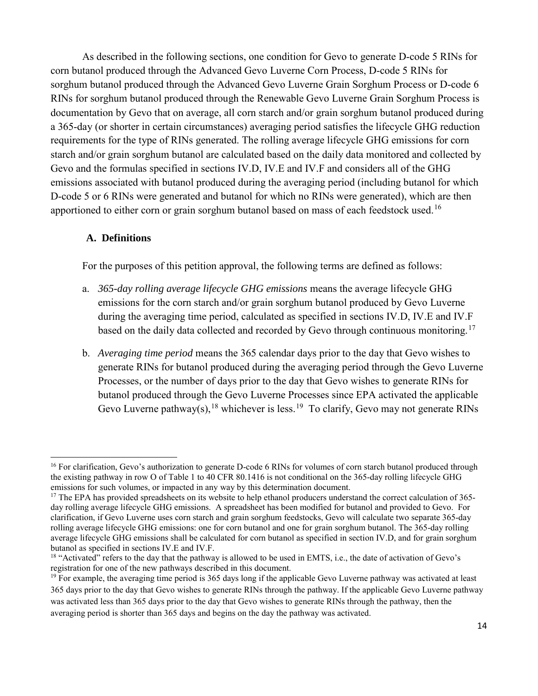As described in the following sections, one condition for Gevo to generate D-code 5 RINs for corn butanol produced through the Advanced Gevo Luverne Corn Process, D-code 5 RINs for sorghum butanol produced through the Advanced Gevo Luverne Grain Sorghum Process or D-code 6 RINs for sorghum butanol produced through the Renewable Gevo Luverne Grain Sorghum Process is documentation by Gevo that on average, all corn starch and/or grain sorghum butanol produced during a 365-day (or shorter in certain circumstances) averaging period satisfies the lifecycle GHG reduction requirements for the type of RINs generated. The rolling average lifecycle GHG emissions for corn starch and/or grain sorghum butanol are calculated based on the daily data monitored and collected by Gevo and the formulas specified in sections IV.D, IV.E and IV.F and considers all of the GHG emissions associated with butanol produced during the averaging period (including butanol for which D-code 5 or 6 RINs were generated and butanol for which no RINs were generated), which are then apportioned to either corn or grain sorghum butanol based on mass of each feedstock used.<sup>[16](#page-15-0)</sup>

#### **A. Definitions**

 $\overline{a}$ 

For the purposes of this petition approval, the following terms are defined as follows:

- a. *365-day rolling average lifecycle GHG emissions* means the average lifecycle GHG emissions for the corn starch and/or grain sorghum butanol produced by Gevo Luverne during the averaging time period, calculated as specified in sections IV.D, IV.E and IV.F based on the daily data collected and recorded by Gevo through continuous monitoring.<sup>[17](#page-15-1)</sup>
- b. *Averaging time period* means the 365 calendar days prior to the day that Gevo wishes to generate RINs for butanol produced during the averaging period through the Gevo Luverne Processes, or the number of days prior to the day that Gevo wishes to generate RINs for butanol produced through the Gevo Luverne Processes since EPA activated the applicable Gevo Luverne pathway(s),  $^{18}$  $^{18}$  $^{18}$  whichever is less.<sup>[19](#page-15-3)</sup> To clarify, Gevo may not generate RINs

<span id="page-15-0"></span><sup>&</sup>lt;sup>16</sup> For clarification, Gevo's authorization to generate D-code 6 RINs for volumes of corn starch butanol produced through the existing pathway in row O of Table 1 to 40 CFR 80.1416 is not conditional on the 365-day rolling lifecycle GHG emissions for such volumes, or impacted in any way by this determination document.

<span id="page-15-1"></span><sup>&</sup>lt;sup>17</sup> The EPA has provided spreadsheets on its website to help ethanol producers understand the correct calculation of 365day rolling average lifecycle GHG emissions. A spreadsheet has been modified for butanol and provided to Gevo. For clarification, if Gevo Luverne uses corn starch and grain sorghum feedstocks, Gevo will calculate two separate 365-day rolling average lifecycle GHG emissions: one for corn butanol and one for grain sorghum butanol. The 365-day rolling average lifecycle GHG emissions shall be calculated for corn butanol as specified in section IV.D, and for grain sorghum butanol as specified in sections IV.E and IV.F.

<span id="page-15-2"></span><sup>&</sup>lt;sup>18</sup> "Activated" refers to the day that the pathway is allowed to be used in EMTS, i.e., the date of activation of Gevo's registration for one of the new pathways described in this document.

<span id="page-15-3"></span><sup>&</sup>lt;sup>19</sup> For example, the averaging time period is 365 days long if the applicable Gevo Luverne pathway was activated at least 365 days prior to the day that Gevo wishes to generate RINs through the pathway. If the applicable Gevo Luverne pathway was activated less than 365 days prior to the day that Gevo wishes to generate RINs through the pathway, then the averaging period is shorter than 365 days and begins on the day the pathway was activated.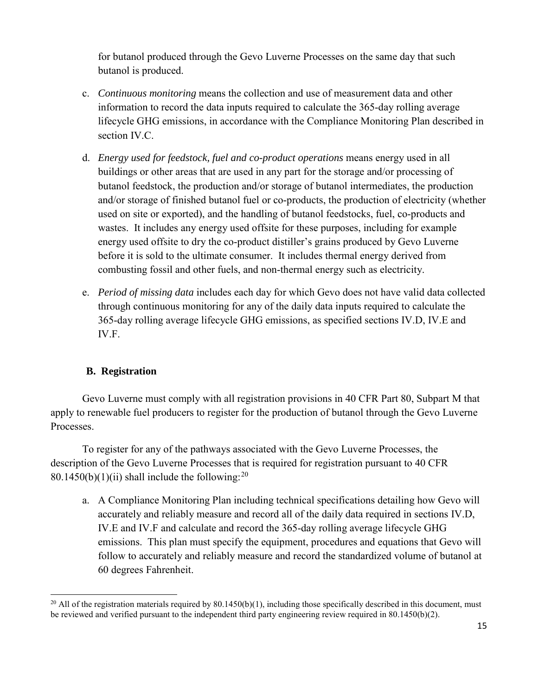for butanol produced through the Gevo Luverne Processes on the same day that such butanol is produced.

- c. *Continuous monitoring* means the collection and use of measurement data and other information to record the data inputs required to calculate the 365-day rolling average lifecycle GHG emissions, in accordance with the Compliance Monitoring Plan described in section IV.C.
- d. *Energy used for feedstock, fuel and co-product operations* means energy used in all buildings or other areas that are used in any part for the storage and/or processing of butanol feedstock, the production and/or storage of butanol intermediates, the production and/or storage of finished butanol fuel or co-products, the production of electricity (whether used on site or exported), and the handling of butanol feedstocks, fuel, co-products and wastes. It includes any energy used offsite for these purposes, including for example energy used offsite to dry the co-product distiller's grains produced by Gevo Luverne before it is sold to the ultimate consumer. It includes thermal energy derived from combusting fossil and other fuels, and non-thermal energy such as electricity.
- e. *Period of missing data* includes each day for which Gevo does not have valid data collected through continuous monitoring for any of the daily data inputs required to calculate the 365-day rolling average lifecycle GHG emissions, as specified sections IV.D, IV.E and IV.F.

# **B. Registration**

Gevo Luverne must comply with all registration provisions in 40 CFR Part 80, Subpart M that apply to renewable fuel producers to register for the production of butanol through the Gevo Luverne Processes.

To register for any of the pathways associated with the Gevo Luverne Processes, the description of the Gevo Luverne Processes that is required for registration pursuant to 40 CFR 80.1450(b)(1)(ii) shall include the following:  $20$ 

a. A Compliance Monitoring Plan including technical specifications detailing how Gevo will accurately and reliably measure and record all of the daily data required in sections IV.D, IV.E and IV.F and calculate and record the 365-day rolling average lifecycle GHG emissions. This plan must specify the equipment, procedures and equations that Gevo will follow to accurately and reliably measure and record the standardized volume of butanol at 60 degrees Fahrenheit.

<span id="page-16-0"></span> $\overline{a}$ <sup>20</sup> All of the registration materials required by 80.1450(b)(1), including those specifically described in this document, must be reviewed and verified pursuant to the independent third party engineering review required in 80.1450(b)(2).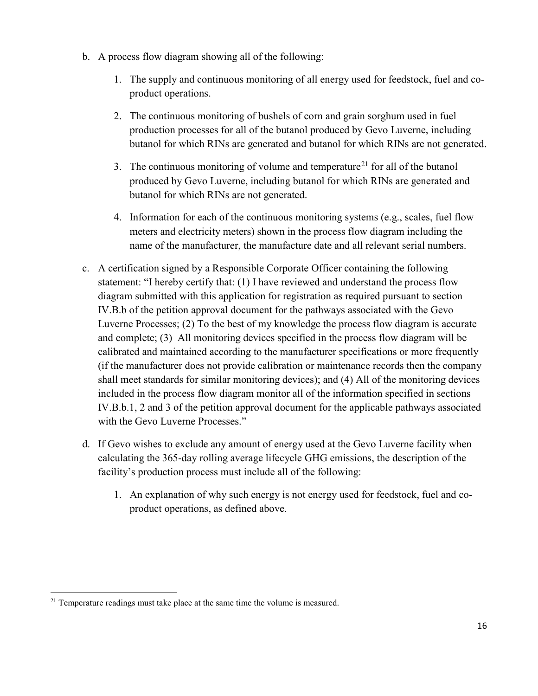- b. A process flow diagram showing all of the following:
	- 1. The supply and continuous monitoring of all energy used for feedstock, fuel and coproduct operations.
	- 2. The continuous monitoring of bushels of corn and grain sorghum used in fuel production processes for all of the butanol produced by Gevo Luverne, including butanol for which RINs are generated and butanol for which RINs are not generated.
	- 3. The continuous monitoring of volume and temperature<sup>[21](#page-17-0)</sup> for all of the butanol produced by Gevo Luverne, including butanol for which RINs are generated and butanol for which RINs are not generated.
	- 4. Information for each of the continuous monitoring systems (e.g., scales, fuel flow meters and electricity meters) shown in the process flow diagram including the name of the manufacturer, the manufacture date and all relevant serial numbers.
- c. A certification signed by a Responsible Corporate Officer containing the following statement: "I hereby certify that: (1) I have reviewed and understand the process flow diagram submitted with this application for registration as required pursuant to section IV.B.b of the petition approval document for the pathways associated with the Gevo Luverne Processes; (2) To the best of my knowledge the process flow diagram is accurate and complete; (3) All monitoring devices specified in the process flow diagram will be calibrated and maintained according to the manufacturer specifications or more frequently (if the manufacturer does not provide calibration or maintenance records then the company shall meet standards for similar monitoring devices); and (4) All of the monitoring devices included in the process flow diagram monitor all of the information specified in sections IV.B.b.1, 2 and 3 of the petition approval document for the applicable pathways associated with the Gevo Luverne Processes."
- d. If Gevo wishes to exclude any amount of energy used at the Gevo Luverne facility when calculating the 365-day rolling average lifecycle GHG emissions, the description of the facility's production process must include all of the following:
	- 1. An explanation of why such energy is not energy used for feedstock, fuel and coproduct operations, as defined above.

<span id="page-17-0"></span> $21$  Temperature readings must take place at the same time the volume is measured.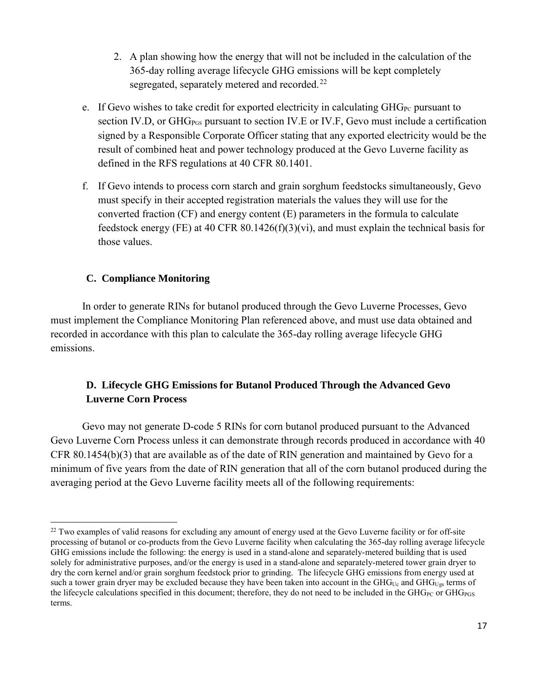- 2. A plan showing how the energy that will not be included in the calculation of the 365-day rolling average lifecycle GHG emissions will be kept completely segregated, separately metered and recorded.<sup>[22](#page-18-0)</sup>
- e. If Gevo wishes to take credit for exported electricity in calculating  $GHG_{PC}$  pursuant to section IV.D, or GHG<sub>PGS</sub> pursuant to section IV.E or IV.F, Gevo must include a certification signed by a Responsible Corporate Officer stating that any exported electricity would be the result of combined heat and power technology produced at the Gevo Luverne facility as defined in the RFS regulations at 40 CFR 80.1401.
- f. If Gevo intends to process corn starch and grain sorghum feedstocks simultaneously, Gevo must specify in their accepted registration materials the values they will use for the converted fraction (CF) and energy content (E) parameters in the formula to calculate feedstock energy (FE) at 40 CFR 80.1426(f)(3)(vi), and must explain the technical basis for those values.

## **C. Compliance Monitoring**

 $\overline{a}$ 

In order to generate RINs for butanol produced through the Gevo Luverne Processes, Gevo must implement the Compliance Monitoring Plan referenced above, and must use data obtained and recorded in accordance with this plan to calculate the 365-day rolling average lifecycle GHG emissions.

# **D. Lifecycle GHG Emissions for Butanol Produced Through the Advanced Gevo Luverne Corn Process**

Gevo may not generate D-code 5 RINs for corn butanol produced pursuant to the Advanced Gevo Luverne Corn Process unless it can demonstrate through records produced in accordance with 40 CFR 80.1454(b)(3) that are available as of the date of RIN generation and maintained by Gevo for a minimum of five years from the date of RIN generation that all of the corn butanol produced during the averaging period at the Gevo Luverne facility meets all of the following requirements:

<span id="page-18-0"></span><sup>&</sup>lt;sup>22</sup> Two examples of valid reasons for excluding any amount of energy used at the Gevo Luverne facility or for off-site processing of butanol or co-products from the Gevo Luverne facility when calculating the 365-day rolling average lifecycle GHG emissions include the following: the energy is used in a stand-alone and separately-metered building that is used solely for administrative purposes, and/or the energy is used in a stand-alone and separately-metered tower grain dryer to dry the corn kernel and/or grain sorghum feedstock prior to grinding. The lifecycle GHG emissions from energy used at such a tower grain dryer may be excluded because they have been taken into account in the GHG<sub>Uc</sub> and GHG<sub>Ugs</sub> terms of the lifecycle calculations specified in this document; therefore, they do not need to be included in the  $GHG_{PC}$  or  $GHG_{PGS}$ terms.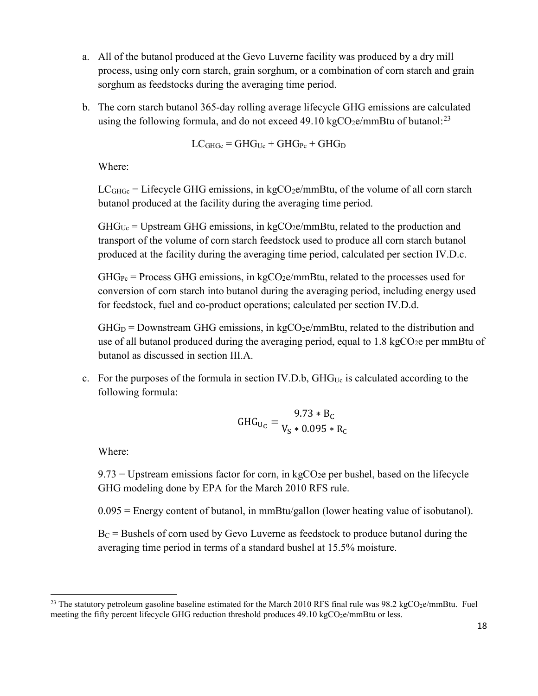- a. All of the butanol produced at the Gevo Luverne facility was produced by a dry mill process, using only corn starch, grain sorghum, or a combination of corn starch and grain sorghum as feedstocks during the averaging time period.
- b. The corn starch butanol 365-day rolling average lifecycle GHG emissions are calculated using the following formula, and do not exceed 49.10 kgCO<sub>2</sub>e/mmBtu of butanol:<sup>[23](#page-19-0)</sup>

$$
LCGHGc = GHGUc + GHGPe + GHGD
$$

Where:

 $LC<sub>GHGe</sub> = Lifecycle GHG emissions, in kgCO<sub>2</sub>e/mmBtu, of the volume of all corn starch$ butanol produced at the facility during the averaging time period.

 $GHG<sub>Uc</sub> = Upstream GHG emissions, in kgCO<sub>2</sub>e/mmBtu, related to the production and$ transport of the volume of corn starch feedstock used to produce all corn starch butanol produced at the facility during the averaging time period, calculated per section IV.D.c.

 $GHG_{Pc}$  = Process GHG emissions, in kgCO<sub>2</sub>e/mmBtu, related to the processes used for conversion of corn starch into butanol during the averaging period, including energy used for feedstock, fuel and co-product operations; calculated per section IV.D.d.

 $GHG<sub>D</sub> = Downstream GHG emissions, in kgCO<sub>2</sub>e/mmBtu, related to the distribution and$ use of all butanol produced during the averaging period, equal to  $1.8 \text{ kgCO}_2$ e per mmBtu of butanol as discussed in section III.A.

c. For the purposes of the formula in section IV.D.b,  $GHG_{Uc}$  is calculated according to the following formula:

$$
GHG_{U_C} = \frac{9.73 * B_C}{V_S * 0.095 * R_C}
$$

Where:

 $9.73$  = Upstream emissions factor for corn, in kgCO<sub>2</sub>e per bushel, based on the lifecycle GHG modeling done by EPA for the March 2010 RFS rule.

0.095 = Energy content of butanol, in mmBtu/gallon (lower heating value of isobutanol).

 $B<sub>C</sub>$  = Bushels of corn used by Gevo Luverne as feedstock to produce butanol during the averaging time period in terms of a standard bushel at 15.5% moisture.

<span id="page-19-0"></span> $\overline{a}$ <sup>23</sup> The statutory petroleum gasoline baseline estimated for the March 2010 RFS final rule was  $98.2 \text{ kgCO}_2$ e/mmBtu. Fuel meeting the fifty percent lifecycle GHG reduction threshold produces  $49.10 \text{ kgCO}_2$ e/mmBtu or less.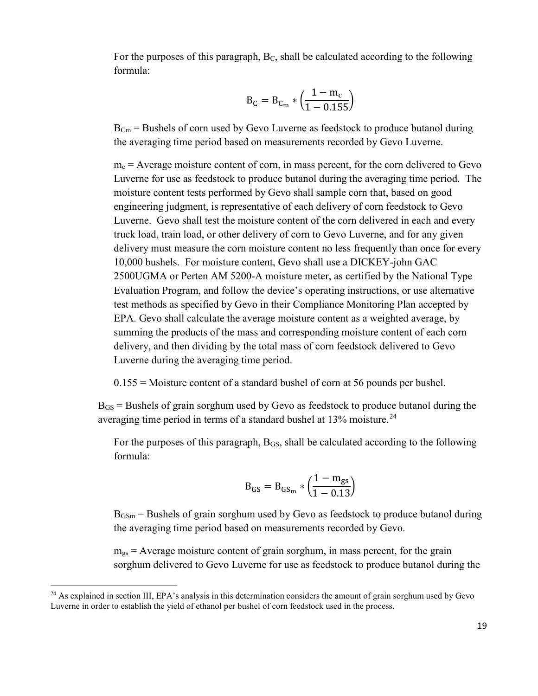For the purposes of this paragraph,  $B<sub>C</sub>$ , shall be calculated according to the following formula:

$$
B_C = B_{C_m} * \left(\frac{1 - m_c}{1 - 0.155}\right)
$$

 $B_{\text{Cm}}$  = Bushels of corn used by Gevo Luverne as feedstock to produce butanol during the averaging time period based on measurements recorded by Gevo Luverne.

 $m<sub>c</sub>$  = Average moisture content of corn, in mass percent, for the corn delivered to Gevo Luverne for use as feedstock to produce butanol during the averaging time period. The moisture content tests performed by Gevo shall sample corn that, based on good engineering judgment, is representative of each delivery of corn feedstock to Gevo Luverne. Gevo shall test the moisture content of the corn delivered in each and every truck load, train load, or other delivery of corn to Gevo Luverne, and for any given delivery must measure the corn moisture content no less frequently than once for every 10,000 bushels. For moisture content, Gevo shall use a DICKEY-john GAC 2500UGMA or Perten AM 5200-A moisture meter, as certified by the National Type Evaluation Program, and follow the device's operating instructions, or use alternative test methods as specified by Gevo in their Compliance Monitoring Plan accepted by EPA. Gevo shall calculate the average moisture content as a weighted average, by summing the products of the mass and corresponding moisture content of each corn delivery, and then dividing by the total mass of corn feedstock delivered to Gevo Luverne during the averaging time period.

0.155 = Moisture content of a standard bushel of corn at 56 pounds per bushel.

 $B_{GS}$  = Bushels of grain sorghum used by Gevo as feedstock to produce butanol during the averaging time period in terms of a standard bushel at  $13\%$  moisture.<sup>[24](#page-20-0)</sup>

For the purposes of this paragraph,  $B_{GS}$ , shall be calculated according to the following formula:

$$
B_{GS} = B_{GS_m} * \left(\frac{1 - m_{gs}}{1 - 0.13}\right)
$$

 $B_{\text{GSm}}$  = Bushels of grain sorghum used by Gevo as feedstock to produce butanol during the averaging time period based on measurements recorded by Gevo.

 $m_{gs}$  = Average moisture content of grain sorghum, in mass percent, for the grain sorghum delivered to Gevo Luverne for use as feedstock to produce butanol during the

<span id="page-20-0"></span><sup>&</sup>lt;sup>24</sup> As explained in section III, EPA's analysis in this determination considers the amount of grain sorghum used by Gevo Luverne in order to establish the yield of ethanol per bushel of corn feedstock used in the process.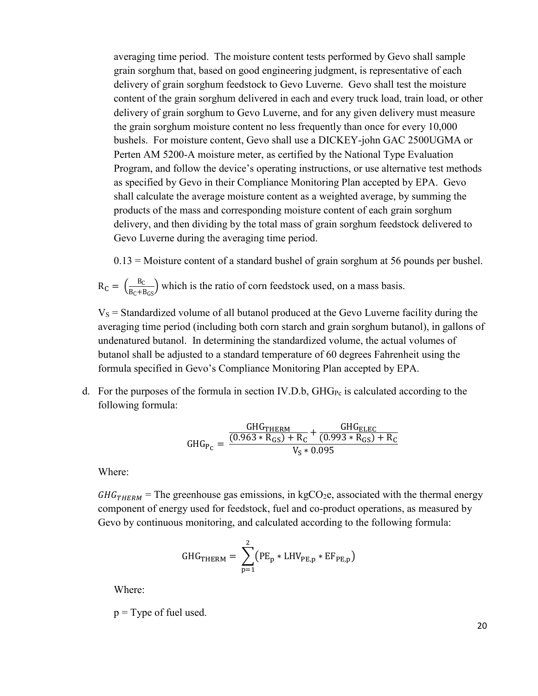averaging time period. The moisture content tests performed by Gevo shall sample grain sorghum that, based on good engineering judgment, is representative of each delivery of grain sorghum feedstock to Gevo Luverne. Gevo shall test the moisture content of the grain sorghum delivered in each and every truck load, train load, or other delivery of grain sorghum to Gevo Luverne, and for any given delivery must measure the grain sorghum moisture content no less frequently than once for every 10,000 bushels. For moisture content, Gevo shall use a DICKEY-john GAC 2500UGMA or Perten AM 5200-A moisture meter, as certified by the National Type Evaluation Program, and follow the device's operating instructions, or use alternative test methods as specified by Gevo in their Compliance Monitoring Plan accepted by EPA. Gevo shall calculate the average moisture content as a weighted average, by summing the products of the mass and corresponding moisture content of each grain sorghum delivery, and then dividing by the total mass of grain sorghum feedstock delivered to Gevo Luverne during the averaging time period.

0.13 = Moisture content of a standard bushel of grain sorghum at 56 pounds per bushel.

$$
R_C = \left(\frac{B_C}{B_C + B_{GS}}\right)
$$
 which is the ratio of corn feedback used, on a mass basis.

 $V<sub>S</sub>$  = Standardized volume of all butanol produced at the Gevo Luverne facility during the averaging time period (including both corn starch and grain sorghum butanol), in gallons of undenatured butanol. In determining the standardized volume, the actual volumes of butanol shall be adjusted to a standard temperature of 60 degrees Fahrenheit using the formula specified in Gevo's Compliance Monitoring Plan accepted by EPA.

d. For the purposes of the formula in section IV.D.b,  $GHG_{Pc}$  is calculated according to the following formula:

$$
GHG_{P_C} = \frac{\frac{GHG_{THERM}}{(0.963 * R_{GS}) + R_C} + \frac{GHG_{ELEC}}{(0.993 * R_{GS}) + R_C}}{V_S * 0.095}
$$

Where:

 $GHG<sub>THERM</sub>$  = The greenhouse gas emissions, in kgCO<sub>2</sub>e, associated with the thermal energy component of energy used for feedstock, fuel and co-product operations, as measured by Gevo by continuous monitoring, and calculated according to the following formula:

$$
GHG_{THERM} = \sum_{p=1}^{2} (PE_p * LHV_{PE,p} * EF_{PE,p})
$$

Where:

 $p = Type$  of fuel used.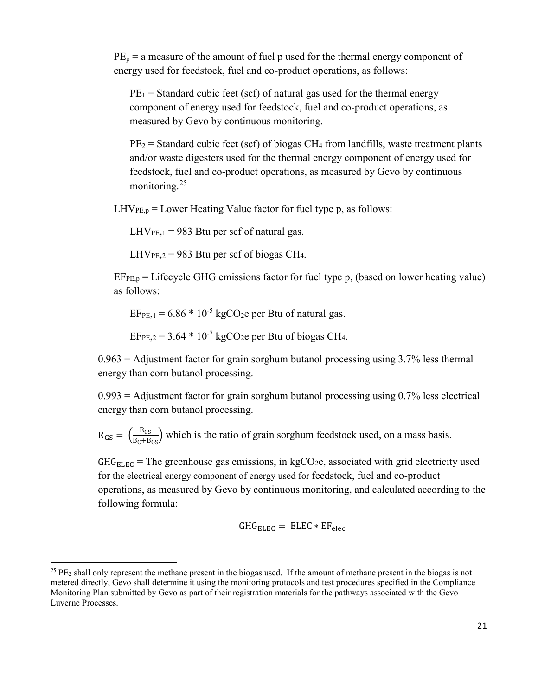$PE<sub>p</sub>$  = a measure of the amount of fuel p used for the thermal energy component of energy used for feedstock, fuel and co-product operations, as follows:

 $PE_1$  = Standard cubic feet (scf) of natural gas used for the thermal energy component of energy used for feedstock, fuel and co-product operations, as measured by Gevo by continuous monitoring.

 $PE<sub>2</sub> = Standard cubic feet (scf) of biogas CH<sub>4</sub> from landfills, waste treatment plants$ and/or waste digesters used for the thermal energy component of energy used for feedstock, fuel and co-product operations, as measured by Gevo by continuous monitoring<sup>25</sup>

 $LHV_{PE,p} = Lower$  Heating Value factor for fuel type p, as follows:

 $LHV_{PE,1} = 983$  Btu per scf of natural gas.

 $LHV_{PE,2} = 983$  Btu per scf of biogas CH<sub>4</sub>.

 $EF_{PE,p}$  = Lifecycle GHG emissions factor for fuel type p, (based on lower heating value) as follows:

 $EF_{PE,1} = 6.86 * 10^{-5}$  kgCO<sub>2</sub>e per Btu of natural gas.

 $EF_{PE,2} = 3.64 * 10^{-7}$  kgCO<sub>2</sub>e per Btu of biogas CH<sub>4</sub>.

 $0.963$  = Adjustment factor for grain sorghum butanol processing using 3.7% less thermal energy than corn butanol processing.

 $0.993$  = Adjustment factor for grain sorghum butanol processing using  $0.7\%$  less electrical energy than corn butanol processing.

 $R_{GS} = \left(\frac{B_{GS}}{B_C + B_{GS}}\right)$  which is the ratio of grain sorghum feedstock used, on a mass basis.

 $GHG<sub>ELEC</sub>$  = The greenhouse gas emissions, in kgCO<sub>2</sub>e, associated with grid electricity used for the electrical energy component of energy used for feedstock, fuel and co-product operations, as measured by Gevo by continuous monitoring, and calculated according to the following formula:

$$
GHG_{ELEG} = ELEG * EF_{elec}
$$

<span id="page-22-0"></span><sup>&</sup>lt;sup>25</sup> PE<sub>2</sub> shall only represent the methane present in the biogas used. If the amount of methane present in the biogas is not metered directly, Gevo shall determine it using the monitoring protocols and test procedures specified in the Compliance Monitoring Plan submitted by Gevo as part of their registration materials for the pathways associated with the Gevo Luverne Processes.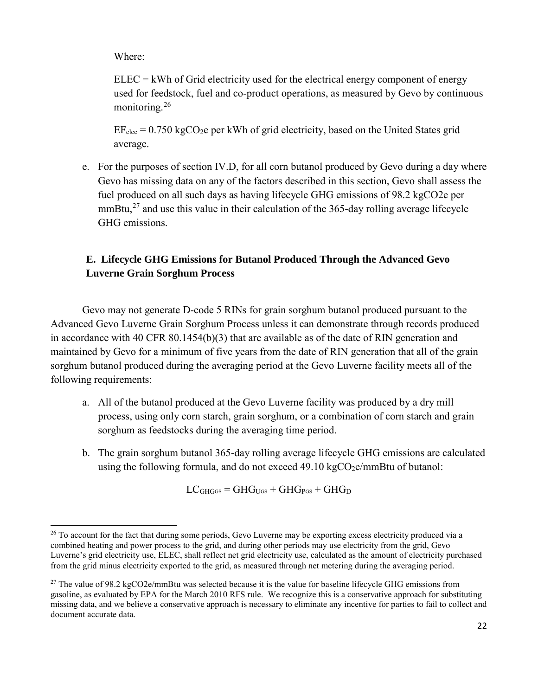Where:

 $\overline{a}$ 

 $ELEC =$  kWh of Grid electricity used for the electrical energy component of energy used for feedstock, fuel and co-product operations, as measured by Gevo by continuous monitoring.[26](#page-23-0)

 $EF_{elec} = 0.750 \text{ kgCO}_2$ e per kWh of grid electricity, based on the United States grid average.

e. For the purposes of section IV.D, for all corn butanol produced by Gevo during a day where Gevo has missing data on any of the factors described in this section, Gevo shall assess the fuel produced on all such days as having lifecycle GHG emissions of 98.2 kgCO2e per mmBtu, $^{27}$  $^{27}$  $^{27}$  and use this value in their calculation of the 365-day rolling average lifecycle GHG emissions.

# **E. Lifecycle GHG Emissions for Butanol Produced Through the Advanced Gevo Luverne Grain Sorghum Process**

Gevo may not generate D-code 5 RINs for grain sorghum butanol produced pursuant to the Advanced Gevo Luverne Grain Sorghum Process unless it can demonstrate through records produced in accordance with 40 CFR 80.1454(b)(3) that are available as of the date of RIN generation and maintained by Gevo for a minimum of five years from the date of RIN generation that all of the grain sorghum butanol produced during the averaging period at the Gevo Luverne facility meets all of the following requirements:

- a. All of the butanol produced at the Gevo Luverne facility was produced by a dry mill process, using only corn starch, grain sorghum, or a combination of corn starch and grain sorghum as feedstocks during the averaging time period.
- b. The grain sorghum butanol 365-day rolling average lifecycle GHG emissions are calculated using the following formula, and do not exceed  $49.10 \text{ kgCO}_2$ e/mmBtu of butanol:

 $LC<sub>GHGGS</sub> = GHG<sub>UGS</sub> + GHG<sub>PGS</sub> + GHG<sub>D</sub>$ 

<span id="page-23-0"></span><sup>&</sup>lt;sup>26</sup> To account for the fact that during some periods, Gevo Luverne may be exporting excess electricity produced via a combined heating and power process to the grid, and during other periods may use electricity from the grid, Gevo Luverne's grid electricity use, ELEC, shall reflect net grid electricity use, calculated as the amount of electricity purchased from the grid minus electricity exported to the grid, as measured through net metering during the averaging period.

<span id="page-23-1"></span><sup>&</sup>lt;sup>27</sup> The value of 98.2 kgCO2e/mmBtu was selected because it is the value for baseline lifecycle GHG emissions from gasoline, as evaluated by EPA for the March 2010 RFS rule. We recognize this is a conservative approach for substituting missing data, and we believe a conservative approach is necessary to eliminate any incentive for parties to fail to collect and document accurate data.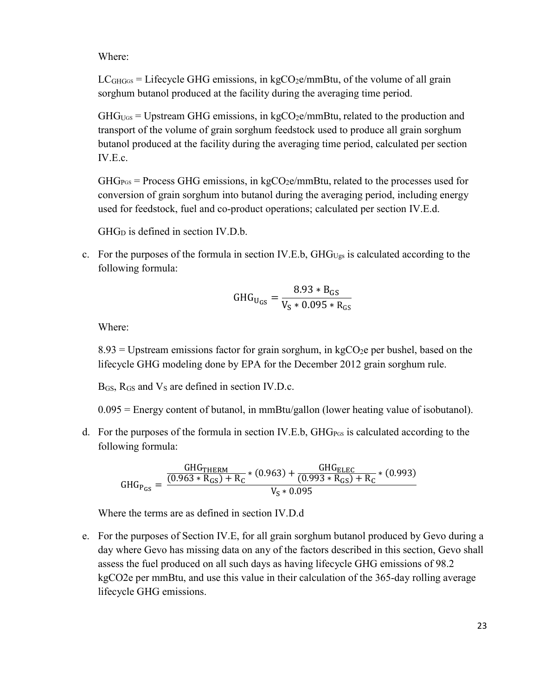Where:

 $LC<sub>GHG</sub>$  = Lifecycle GHG emissions, in kgCO<sub>2</sub>e/mmBtu, of the volume of all grain sorghum butanol produced at the facility during the averaging time period.

 $GHG<sub>UGS</sub> = Upstream GHG emissions, in kgCO<sub>2</sub>e/mmBtu, related to the production and$ transport of the volume of grain sorghum feedstock used to produce all grain sorghum butanol produced at the facility during the averaging time period, calculated per section IV.E.c.

 $GHG<sub>PS</sub>$  = Process GHG emissions, in kgCO<sub>2</sub>e/mmBtu, related to the processes used for conversion of grain sorghum into butanol during the averaging period, including energy used for feedstock, fuel and co-product operations; calculated per section IV.E.d.

GHG<sub>D</sub> is defined in section IV.D.b.

c. For the purposes of the formula in section IV.E.b,  $GHG<sub>Ugs</sub>$  is calculated according to the following formula:

$$
GHG_{U_{GS}} = \frac{8.93 * B_{GS}}{V_S * 0.095 * R_{GS}}
$$

Where:

 $8.93$  = Upstream emissions factor for grain sorghum, in kgCO<sub>2</sub>e per bushel, based on the lifecycle GHG modeling done by EPA for the December 2012 grain sorghum rule.

 $B_{GS}$ ,  $R_{GS}$  and  $V_s$  are defined in section IV.D.c.

0.095 = Energy content of butanol, in mmBtu/gallon (lower heating value of isobutanol).

d. For the purposes of the formula in section IV.E.b,  $GHG_{\text{Pos}}$  is calculated according to the following formula:

$$
GHG_{P_{GS}} = \frac{\frac{GHG_{THERM}}{(0.963 * R_{GS}) + R_C} * (0.963) + \frac{GHG_{ELEC}}{(0.993 * R_{GS}) + R_C} * (0.993)}{V_S * 0.095}
$$

Where the terms are as defined in section IV.D.d

e. For the purposes of Section IV.E, for all grain sorghum butanol produced by Gevo during a day where Gevo has missing data on any of the factors described in this section, Gevo shall assess the fuel produced on all such days as having lifecycle GHG emissions of 98.2 kgCO2e per mmBtu, and use this value in their calculation of the 365-day rolling average lifecycle GHG emissions.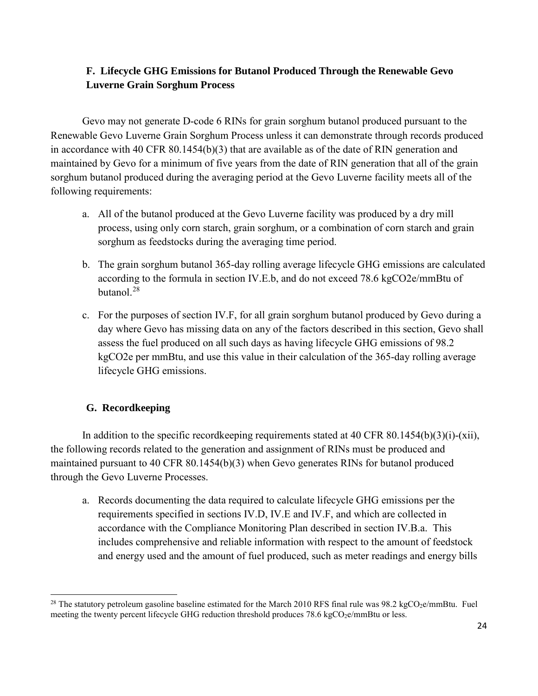# **F. Lifecycle GHG Emissions for Butanol Produced Through the Renewable Gevo Luverne Grain Sorghum Process**

Gevo may not generate D-code 6 RINs for grain sorghum butanol produced pursuant to the Renewable Gevo Luverne Grain Sorghum Process unless it can demonstrate through records produced in accordance with 40 CFR 80.1454(b)(3) that are available as of the date of RIN generation and maintained by Gevo for a minimum of five years from the date of RIN generation that all of the grain sorghum butanol produced during the averaging period at the Gevo Luverne facility meets all of the following requirements:

- a. All of the butanol produced at the Gevo Luverne facility was produced by a dry mill process, using only corn starch, grain sorghum, or a combination of corn starch and grain sorghum as feedstocks during the averaging time period.
- b. The grain sorghum butanol 365-day rolling average lifecycle GHG emissions are calculated according to the formula in section IV.E.b, and do not exceed 78.6 kgCO2e/mmBtu of butanol $^{28}$  $^{28}$  $^{28}$
- c. For the purposes of section IV.F, for all grain sorghum butanol produced by Gevo during a day where Gevo has missing data on any of the factors described in this section, Gevo shall assess the fuel produced on all such days as having lifecycle GHG emissions of 98.2 kgCO2e per mmBtu, and use this value in their calculation of the 365-day rolling average lifecycle GHG emissions.

# **G. Recordkeeping**

In addition to the specific record keeping requirements stated at 40 CFR 80.1454(b)(3)(i)-(xii), the following records related to the generation and assignment of RINs must be produced and maintained pursuant to 40 CFR 80.1454(b)(3) when Gevo generates RINs for butanol produced through the Gevo Luverne Processes.

a. Records documenting the data required to calculate lifecycle GHG emissions per the requirements specified in sections IV.D, IV.E and IV.F, and which are collected in accordance with the Compliance Monitoring Plan described in section IV.B.a. This includes comprehensive and reliable information with respect to the amount of feedstock and energy used and the amount of fuel produced, such as meter readings and energy bills

<span id="page-25-0"></span> $\overline{a}$ <sup>28</sup> The statutory petroleum gasoline baseline estimated for the March 2010 RFS final rule was  $98.2 \text{ kgCO}_2$ e/mmBtu. Fuel meeting the twenty percent lifecycle GHG reduction threshold produces 78.6 kgCO<sub>2</sub>e/mmBtu or less.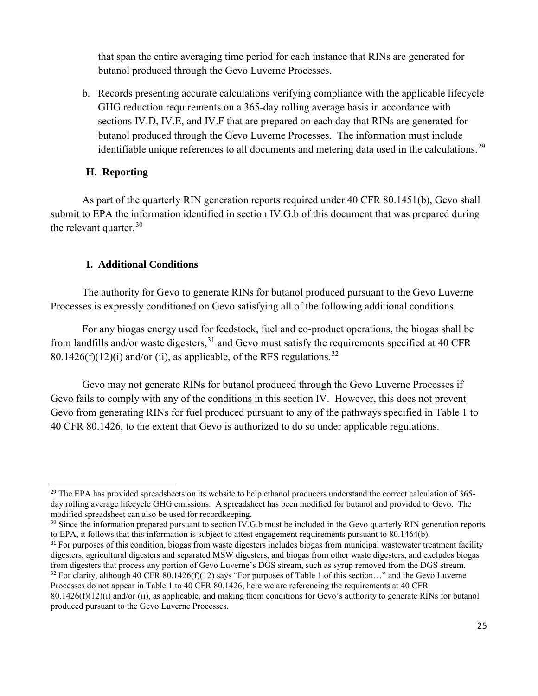that span the entire averaging time period for each instance that RINs are generated for butanol produced through the Gevo Luverne Processes.

b. Records presenting accurate calculations verifying compliance with the applicable lifecycle GHG reduction requirements on a 365-day rolling average basis in accordance with sections IV.D, IV.E, and IV.F that are prepared on each day that RINs are generated for butanol produced through the Gevo Luverne Processes. The information must include identifiable unique references to all documents and metering data used in the calculations.<sup>[29](#page-26-0)</sup>

## **H. Reporting**

 $\overline{a}$ 

As part of the quarterly RIN generation reports required under 40 CFR 80.1451(b), Gevo shall submit to EPA the information identified in section IV.G.b of this document that was prepared during the relevant quarter.  $30$ 

## **I. Additional Conditions**

The authority for Gevo to generate RINs for butanol produced pursuant to the Gevo Luverne Processes is expressly conditioned on Gevo satisfying all of the following additional conditions.

 For any biogas energy used for feedstock, fuel and co-product operations, the biogas shall be from landfills and/or waste digesters,  $31$  and Gevo must satisfy the requirements specified at 40 CFR 80.1426(f)(12)(i) and/or (ii), as applicable, of the RFS regulations.<sup>[32](#page-26-3)</sup>

Gevo may not generate RINs for butanol produced through the Gevo Luverne Processes if Gevo fails to comply with any of the conditions in this section IV. However, this does not prevent Gevo from generating RINs for fuel produced pursuant to any of the pathways specified in Table 1 to 40 CFR 80.1426, to the extent that Gevo is authorized to do so under applicable regulations.

<span id="page-26-0"></span><sup>&</sup>lt;sup>29</sup> The EPA has provided spreadsheets on its website to help ethanol producers understand the correct calculation of 365day rolling average lifecycle GHG emissions. A spreadsheet has been modified for butanol and provided to Gevo. The modified spreadsheet can also be used for recordkeeping.

<span id="page-26-1"></span><sup>&</sup>lt;sup>30</sup> Since the information prepared pursuant to section IV.G.b must be included in the Gevo quarterly RIN generation reports to EPA, it follows that this information is subject to attest engagement requirements pursuant to 80.1464(b).

<span id="page-26-2"></span><sup>&</sup>lt;sup>31</sup> For purposes of this condition, biogas from waste digesters includes biogas from municipal wastewater treatment facility digesters, agricultural digesters and separated MSW digesters, and biogas from other waste digesters, and excludes biogas from digesters that process any portion of Gevo Luverne's DGS stream, such as syrup removed from the DGS stream. <sup>32</sup> For clarity, although 40 CFR 80.1426(f)(12) says "For purposes of Table 1 of this section..." and the Gevo Luverne Processes do not appear in Table 1 to 40 CFR 80.1426, here we are referencing the requirements at 40 CFR

<span id="page-26-3"></span> $80.1426(f)(12)(i)$  and/or (ii), as applicable, and making them conditions for Gevo's authority to generate RINs for butanol produced pursuant to the Gevo Luverne Processes.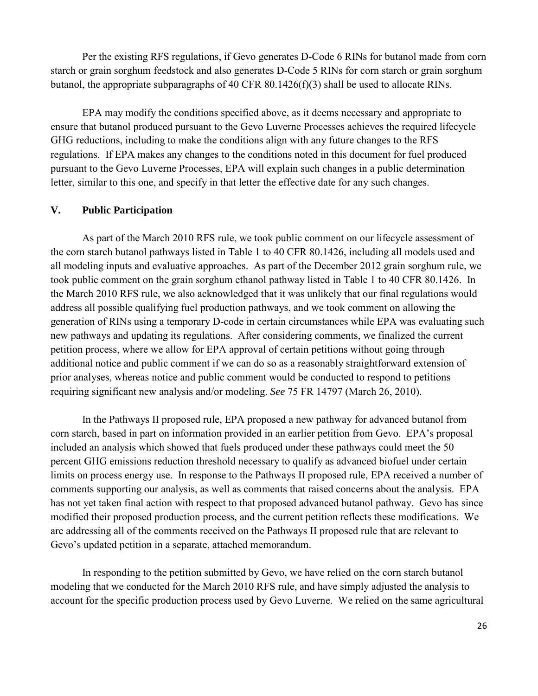Per the existing RFS regulations, if Gevo generates D-Code 6 RINs for butanol made from corn starch or grain sorghum feedstock and also generates D-Code 5 RINs for corn starch or grain sorghum butanol, the appropriate subparagraphs of 40 CFR 80.1426(f)(3) shall be used to allocate RINs.

EPA may modify the conditions specified above, as it deems necessary and appropriate to ensure that butanol produced pursuant to the Gevo Luverne Processes achieves the required lifecycle GHG reductions, including to make the conditions align with any future changes to the RFS regulations. If EPA makes any changes to the conditions noted in this document for fuel produced pursuant to the Gevo Luverne Processes, EPA will explain such changes in a public determination letter, similar to this one, and specify in that letter the effective date for any such changes.

#### **V. Public Participation**

As part of the March 2010 RFS rule, we took public comment on our lifecycle assessment of the corn starch butanol pathways listed in Table 1 to 40 CFR 80.1426, including all models used and all modeling inputs and evaluative approaches. As part of the December 2012 grain sorghum rule, we took public comment on the grain sorghum ethanol pathway listed in Table 1 to 40 CFR 80.1426. In the March 2010 RFS rule, we also acknowledged that it was unlikely that our final regulations would address all possible qualifying fuel production pathways, and we took comment on allowing the generation of RINs using a temporary D-code in certain circumstances while EPA was evaluating such new pathways and updating its regulations. After considering comments, we finalized the current petition process, where we allow for EPA approval of certain petitions without going through additional notice and public comment if we can do so as a reasonably straightforward extension of prior analyses, whereas notice and public comment would be conducted to respond to petitions requiring significant new analysis and/or modeling. *See* 75 FR 14797 (March 26, 2010).

In the Pathways II proposed rule, EPA proposed a new pathway for advanced butanol from corn starch, based in part on information provided in an earlier petition from Gevo. EPA's proposal included an analysis which showed that fuels produced under these pathways could meet the 50 percent GHG emissions reduction threshold necessary to qualify as advanced biofuel under certain limits on process energy use. In response to the Pathways II proposed rule, EPA received a number of comments supporting our analysis, as well as comments that raised concerns about the analysis. EPA has not yet taken final action with respect to that proposed advanced butanol pathway. Gevo has since modified their proposed production process, and the current petition reflects these modifications. We are addressing all of the comments received on the Pathways II proposed rule that are relevant to Gevo's updated petition in a separate, attached memorandum.

In responding to the petition submitted by Gevo, we have relied on the corn starch butanol modeling that we conducted for the March 2010 RFS rule, and have simply adjusted the analysis to account for the specific production process used by Gevo Luverne. We relied on the same agricultural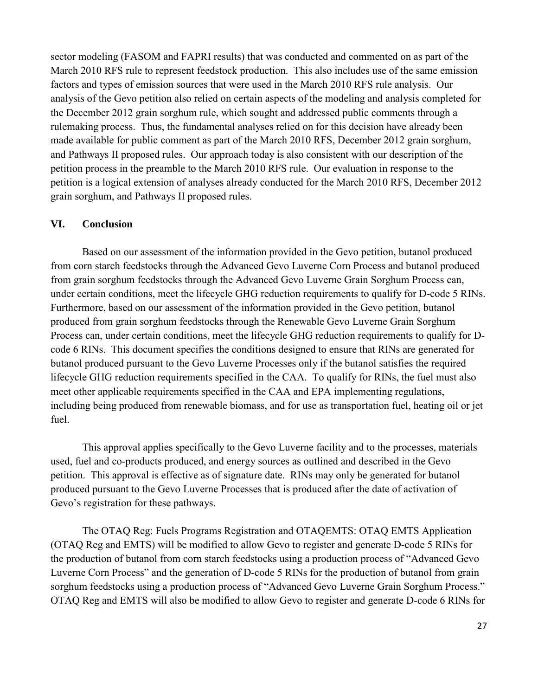sector modeling (FASOM and FAPRI results) that was conducted and commented on as part of the March 2010 RFS rule to represent feedstock production. This also includes use of the same emission factors and types of emission sources that were used in the March 2010 RFS rule analysis. Our analysis of the Gevo petition also relied on certain aspects of the modeling and analysis completed for the December 2012 grain sorghum rule, which sought and addressed public comments through a rulemaking process. Thus, the fundamental analyses relied on for this decision have already been made available for public comment as part of the March 2010 RFS, December 2012 grain sorghum, and Pathways II proposed rules. Our approach today is also consistent with our description of the petition process in the preamble to the March 2010 RFS rule. Our evaluation in response to the petition is a logical extension of analyses already conducted for the March 2010 RFS, December 2012 grain sorghum, and Pathways II proposed rules.

## **VI. Conclusion**

Based on our assessment of the information provided in the Gevo petition, butanol produced from corn starch feedstocks through the Advanced Gevo Luverne Corn Process and butanol produced from grain sorghum feedstocks through the Advanced Gevo Luverne Grain Sorghum Process can, under certain conditions, meet the lifecycle GHG reduction requirements to qualify for D-code 5 RINs. Furthermore, based on our assessment of the information provided in the Gevo petition, butanol produced from grain sorghum feedstocks through the Renewable Gevo Luverne Grain Sorghum Process can, under certain conditions, meet the lifecycle GHG reduction requirements to qualify for Dcode 6 RINs. This document specifies the conditions designed to ensure that RINs are generated for butanol produced pursuant to the Gevo Luverne Processes only if the butanol satisfies the required lifecycle GHG reduction requirements specified in the CAA. To qualify for RINs, the fuel must also meet other applicable requirements specified in the CAA and EPA implementing regulations, including being produced from renewable biomass, and for use as transportation fuel, heating oil or jet fuel.

This approval applies specifically to the Gevo Luverne facility and to the processes, materials used, fuel and co-products produced, and energy sources as outlined and described in the Gevo petition. This approval is effective as of signature date. RINs may only be generated for butanol produced pursuant to the Gevo Luverne Processes that is produced after the date of activation of Gevo's registration for these pathways.

The OTAQ Reg: Fuels Programs Registration and OTAQEMTS: OTAQ EMTS Application (OTAQ Reg and EMTS) will be modified to allow Gevo to register and generate D-code 5 RINs for the production of butanol from corn starch feedstocks using a production process of "Advanced Gevo Luverne Corn Process" and the generation of D-code 5 RINs for the production of butanol from grain sorghum feedstocks using a production process of "Advanced Gevo Luverne Grain Sorghum Process." OTAQ Reg and EMTS will also be modified to allow Gevo to register and generate D-code 6 RINs for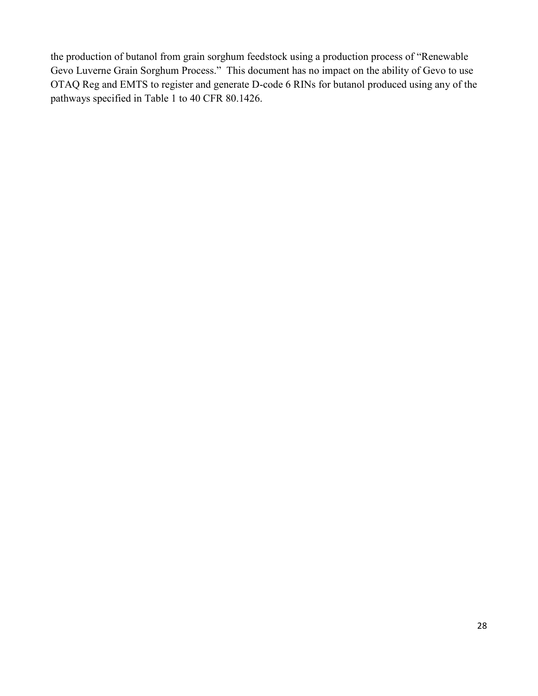the production of butanol from grain sorghum feedstock using a production process of "Renewable Gevo Luverne Grain Sorghum Process." This document has no impact on the ability of Gevo to use OTAQ Reg and EMTS to register and generate D-code 6 RINs for butanol produced using any of the pathways specified in Table 1 to 40 CFR 80.1426.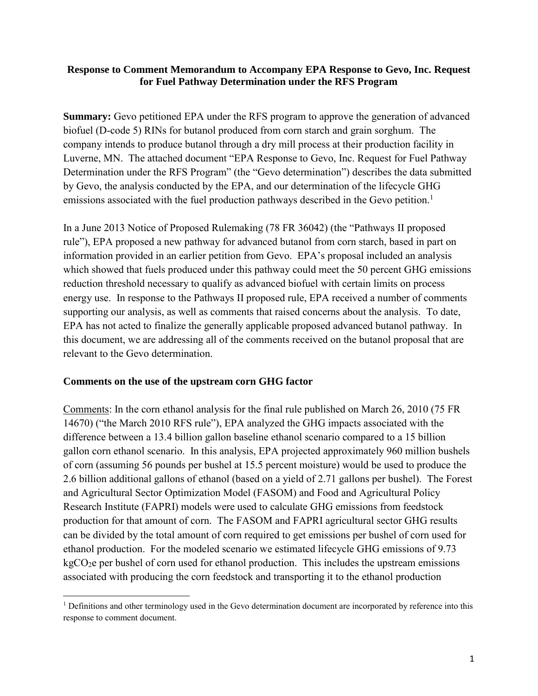#### **Response to Comment Memorandum to Accompany EPA Response to Gevo, Inc. Request for Fuel Pathway Determination under the RFS Program**

**Summary:** Gevo petitioned EPA under the RFS program to approve the generation of advanced biofuel (D-code 5) RINs for butanol produced from corn starch and grain sorghum. The company intends to produce butanol through a dry mill process at their production facility in Luverne, MN. The attached document "EPA Response to Gevo, Inc. Request for Fuel Pathway Determination under the RFS Program" (the "Gevo determination") describes the data submitted by Gevo, the analysis conducted by the EPA, and our determination of the lifecycle GHG emissions associated with the fuel production pathways described in the Gevo petition.<sup>1</sup>

In a June 2013 Notice of Proposed Rulemaking (78 FR 36042) (the "Pathways II proposed rule"), EPA proposed a new pathway for advanced butanol from corn starch, based in part on information provided in an earlier petition from Gevo. EPA's proposal included an analysis which showed that fuels produced under this pathway could meet the 50 percent GHG emissions reduction threshold necessary to qualify as advanced biofuel with certain limits on process energy use. In response to the Pathways II proposed rule, EPA received a number of comments supporting our analysis, as well as comments that raised concerns about the analysis. To date, EPA has not acted to finalize the generally applicable proposed advanced butanol pathway. In this document, we are addressing all of the comments received on the butanol proposal that are relevant to the Gevo determination.

## **Comments on the use of the upstream corn GHG factor**

 $\overline{a}$ 

Comments: In the corn ethanol analysis for the final rule published on March 26, 2010 (75 FR 14670) ("the March 2010 RFS rule"), EPA analyzed the GHG impacts associated with the difference between a 13.4 billion gallon baseline ethanol scenario compared to a 15 billion gallon corn ethanol scenario. In this analysis, EPA projected approximately 960 million bushels of corn (assuming 56 pounds per bushel at 15.5 percent moisture) would be used to produce the 2.6 billion additional gallons of ethanol (based on a yield of 2.71 gallons per bushel). The Forest and Agricultural Sector Optimization Model (FASOM) and Food and Agricultural Policy Research Institute (FAPRI) models were used to calculate GHG emissions from feedstock production for that amount of corn. The FASOM and FAPRI agricultural sector GHG results can be divided by the total amount of corn required to get emissions per bushel of corn used for ethanol production. For the modeled scenario we estimated lifecycle GHG emissions of 9.73  $kgCO<sub>2</sub>e$  per bushel of corn used for ethanol production. This includes the upstream emissions associated with producing the corn feedstock and transporting it to the ethanol production

<sup>1</sup> Definitions and other terminology used in the Gevo determination document are incorporated by reference into this response to comment document.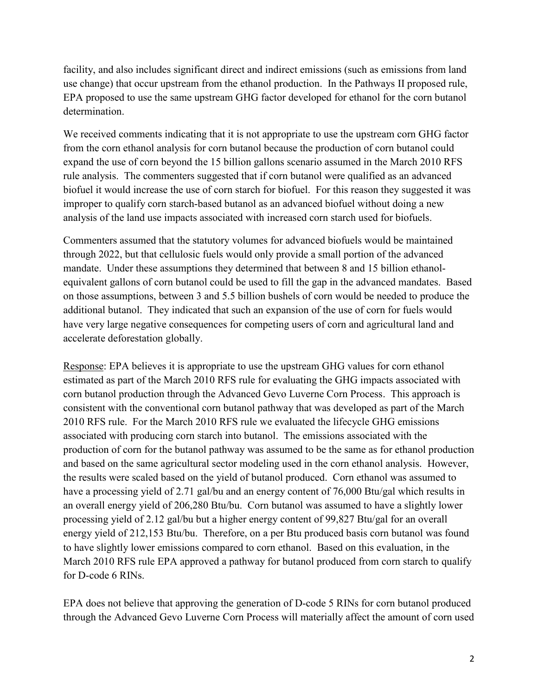facility, and also includes significant direct and indirect emissions (such as emissions from land use change) that occur upstream from the ethanol production. In the Pathways II proposed rule, EPA proposed to use the same upstream GHG factor developed for ethanol for the corn butanol determination.

We received comments indicating that it is not appropriate to use the upstream corn GHG factor from the corn ethanol analysis for corn butanol because the production of corn butanol could expand the use of corn beyond the 15 billion gallons scenario assumed in the March 2010 RFS rule analysis. The commenters suggested that if corn butanol were qualified as an advanced biofuel it would increase the use of corn starch for biofuel. For this reason they suggested it was improper to qualify corn starch-based butanol as an advanced biofuel without doing a new analysis of the land use impacts associated with increased corn starch used for biofuels.

Commenters assumed that the statutory volumes for advanced biofuels would be maintained through 2022, but that cellulosic fuels would only provide a small portion of the advanced mandate. Under these assumptions they determined that between 8 and 15 billion ethanolequivalent gallons of corn butanol could be used to fill the gap in the advanced mandates. Based on those assumptions, between 3 and 5.5 billion bushels of corn would be needed to produce the additional butanol. They indicated that such an expansion of the use of corn for fuels would have very large negative consequences for competing users of corn and agricultural land and accelerate deforestation globally.

Response: EPA believes it is appropriate to use the upstream GHG values for corn ethanol estimated as part of the March 2010 RFS rule for evaluating the GHG impacts associated with corn butanol production through the Advanced Gevo Luverne Corn Process. This approach is consistent with the conventional corn butanol pathway that was developed as part of the March 2010 RFS rule. For the March 2010 RFS rule we evaluated the lifecycle GHG emissions associated with producing corn starch into butanol. The emissions associated with the production of corn for the butanol pathway was assumed to be the same as for ethanol production and based on the same agricultural sector modeling used in the corn ethanol analysis. However, the results were scaled based on the yield of butanol produced. Corn ethanol was assumed to have a processing yield of 2.71 gal/bu and an energy content of 76,000 Btu/gal which results in an overall energy yield of 206,280 Btu/bu. Corn butanol was assumed to have a slightly lower processing yield of 2.12 gal/bu but a higher energy content of 99,827 Btu/gal for an overall energy yield of 212,153 Btu/bu. Therefore, on a per Btu produced basis corn butanol was found to have slightly lower emissions compared to corn ethanol. Based on this evaluation, in the March 2010 RFS rule EPA approved a pathway for butanol produced from corn starch to qualify for D-code 6 RINs.

EPA does not believe that approving the generation of D-code 5 RINs for corn butanol produced through the Advanced Gevo Luverne Corn Process will materially affect the amount of corn used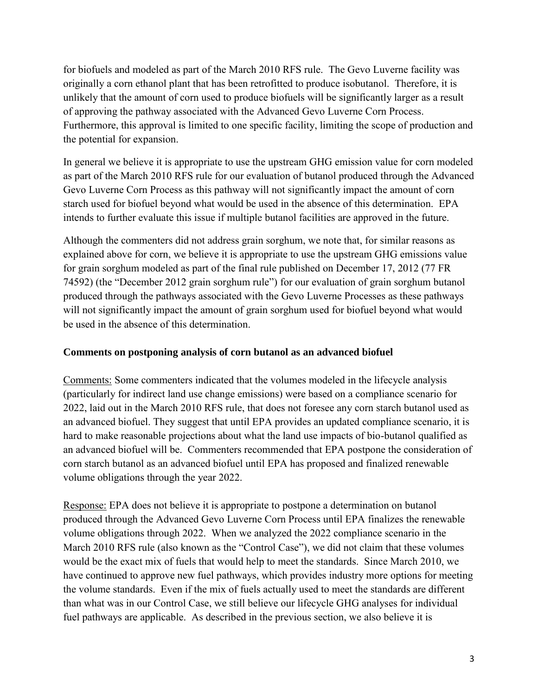for biofuels and modeled as part of the March 2010 RFS rule. The Gevo Luverne facility was originally a corn ethanol plant that has been retrofitted to produce isobutanol. Therefore, it is unlikely that the amount of corn used to produce biofuels will be significantly larger as a result of approving the pathway associated with the Advanced Gevo Luverne Corn Process. Furthermore, this approval is limited to one specific facility, limiting the scope of production and the potential for expansion.

In general we believe it is appropriate to use the upstream GHG emission value for corn modeled as part of the March 2010 RFS rule for our evaluation of butanol produced through the Advanced Gevo Luverne Corn Process as this pathway will not significantly impact the amount of corn starch used for biofuel beyond what would be used in the absence of this determination. EPA intends to further evaluate this issue if multiple butanol facilities are approved in the future.

Although the commenters did not address grain sorghum, we note that, for similar reasons as explained above for corn, we believe it is appropriate to use the upstream GHG emissions value for grain sorghum modeled as part of the final rule published on December 17, 2012 (77 FR 74592) (the "December 2012 grain sorghum rule") for our evaluation of grain sorghum butanol produced through the pathways associated with the Gevo Luverne Processes as these pathways will not significantly impact the amount of grain sorghum used for biofuel beyond what would be used in the absence of this determination.

## **Comments on postponing analysis of corn butanol as an advanced biofuel**

Comments: Some commenters indicated that the volumes modeled in the lifecycle analysis (particularly for indirect land use change emissions) were based on a compliance scenario for 2022, laid out in the March 2010 RFS rule, that does not foresee any corn starch butanol used as an advanced biofuel. They suggest that until EPA provides an updated compliance scenario, it is hard to make reasonable projections about what the land use impacts of bio-butanol qualified as an advanced biofuel will be. Commenters recommended that EPA postpone the consideration of corn starch butanol as an advanced biofuel until EPA has proposed and finalized renewable volume obligations through the year 2022.

Response: EPA does not believe it is appropriate to postpone a determination on butanol produced through the Advanced Gevo Luverne Corn Process until EPA finalizes the renewable volume obligations through 2022. When we analyzed the 2022 compliance scenario in the March 2010 RFS rule (also known as the "Control Case"), we did not claim that these volumes would be the exact mix of fuels that would help to meet the standards. Since March 2010, we have continued to approve new fuel pathways, which provides industry more options for meeting the volume standards. Even if the mix of fuels actually used to meet the standards are different than what was in our Control Case, we still believe our lifecycle GHG analyses for individual fuel pathways are applicable. As described in the previous section, we also believe it is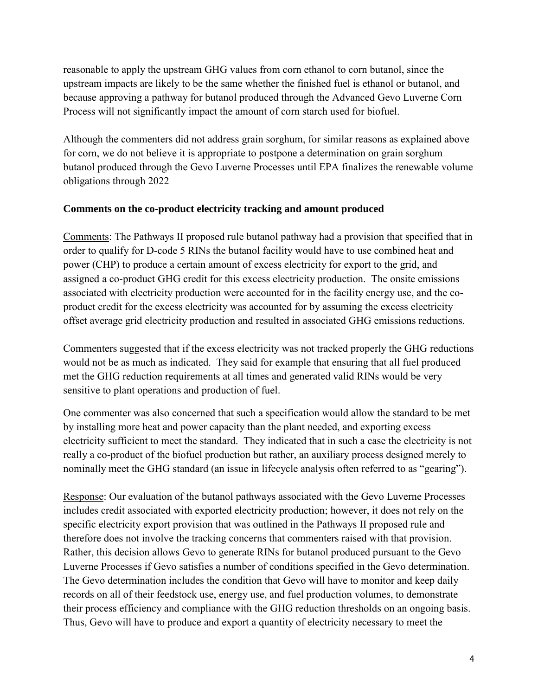reasonable to apply the upstream GHG values from corn ethanol to corn butanol, since the upstream impacts are likely to be the same whether the finished fuel is ethanol or butanol, and because approving a pathway for butanol produced through the Advanced Gevo Luverne Corn Process will not significantly impact the amount of corn starch used for biofuel.

Although the commenters did not address grain sorghum, for similar reasons as explained above for corn, we do not believe it is appropriate to postpone a determination on grain sorghum butanol produced through the Gevo Luverne Processes until EPA finalizes the renewable volume obligations through 2022

## **Comments on the co-product electricity tracking and amount produced**

Comments: The Pathways II proposed rule butanol pathway had a provision that specified that in order to qualify for D-code 5 RINs the butanol facility would have to use combined heat and power (CHP) to produce a certain amount of excess electricity for export to the grid, and assigned a co-product GHG credit for this excess electricity production. The onsite emissions associated with electricity production were accounted for in the facility energy use, and the coproduct credit for the excess electricity was accounted for by assuming the excess electricity offset average grid electricity production and resulted in associated GHG emissions reductions.

Commenters suggested that if the excess electricity was not tracked properly the GHG reductions would not be as much as indicated. They said for example that ensuring that all fuel produced met the GHG reduction requirements at all times and generated valid RINs would be very sensitive to plant operations and production of fuel.

One commenter was also concerned that such a specification would allow the standard to be met by installing more heat and power capacity than the plant needed, and exporting excess electricity sufficient to meet the standard. They indicated that in such a case the electricity is not really a co-product of the biofuel production but rather, an auxiliary process designed merely to nominally meet the GHG standard (an issue in lifecycle analysis often referred to as "gearing").

Response: Our evaluation of the butanol pathways associated with the Gevo Luverne Processes includes credit associated with exported electricity production; however, it does not rely on the specific electricity export provision that was outlined in the Pathways II proposed rule and therefore does not involve the tracking concerns that commenters raised with that provision. Rather, this decision allows Gevo to generate RINs for butanol produced pursuant to the Gevo Luverne Processes if Gevo satisfies a number of conditions specified in the Gevo determination. The Gevo determination includes the condition that Gevo will have to monitor and keep daily records on all of their feedstock use, energy use, and fuel production volumes, to demonstrate their process efficiency and compliance with the GHG reduction thresholds on an ongoing basis. Thus, Gevo will have to produce and export a quantity of electricity necessary to meet the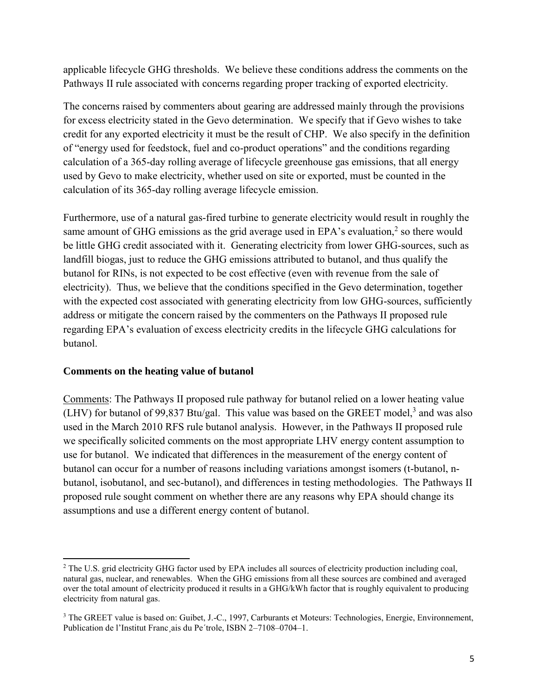applicable lifecycle GHG thresholds. We believe these conditions address the comments on the Pathways II rule associated with concerns regarding proper tracking of exported electricity.

The concerns raised by commenters about gearing are addressed mainly through the provisions for excess electricity stated in the Gevo determination. We specify that if Gevo wishes to take credit for any exported electricity it must be the result of CHP. We also specify in the definition of "energy used for feedstock, fuel and co-product operations" and the conditions regarding calculation of a 365-day rolling average of lifecycle greenhouse gas emissions, that all energy used by Gevo to make electricity, whether used on site or exported, must be counted in the calculation of its 365-day rolling average lifecycle emission.

Furthermore, use of a natural gas-fired turbine to generate electricity would result in roughly the same amount of GHG emissions as the grid average used in EPA's evaluation, $<sup>2</sup>$  so there would</sup> be little GHG credit associated with it. Generating electricity from lower GHG-sources, such as landfill biogas, just to reduce the GHG emissions attributed to butanol, and thus qualify the butanol for RINs, is not expected to be cost effective (even with revenue from the sale of electricity). Thus, we believe that the conditions specified in the Gevo determination, together with the expected cost associated with generating electricity from low GHG-sources, sufficiently address or mitigate the concern raised by the commenters on the Pathways II proposed rule regarding EPA's evaluation of excess electricity credits in the lifecycle GHG calculations for butanol.

## **Comments on the heating value of butanol**

 $\overline{\phantom{a}}$ 

Comments: The Pathways II proposed rule pathway for butanol relied on a lower heating value (LHV) for butanol of 99,837 Btu/gal. This value was based on the GREET model,<sup>3</sup> and was also used in the March 2010 RFS rule butanol analysis. However, in the Pathways II proposed rule we specifically solicited comments on the most appropriate LHV energy content assumption to use for butanol. We indicated that differences in the measurement of the energy content of butanol can occur for a number of reasons including variations amongst isomers (t-butanol, nbutanol, isobutanol, and sec-butanol), and differences in testing methodologies. The Pathways II proposed rule sought comment on whether there are any reasons why EPA should change its assumptions and use a different energy content of butanol.

<sup>&</sup>lt;sup>2</sup> The U.S. grid electricity GHG factor used by EPA includes all sources of electricity production including coal, natural gas, nuclear, and renewables. When the GHG emissions from all these sources are combined and averaged over the total amount of electricity produced it results in a GHG/kWh factor that is roughly equivalent to producing electricity from natural gas.

<sup>&</sup>lt;sup>3</sup> The GREET value is based on: Guibet, J.-C., 1997, Carburants et Moteurs: Technologies, Energie, Environnement, Publication de l'Institut Franc¸ais du Pe´trole, ISBN 2–7108–0704–1.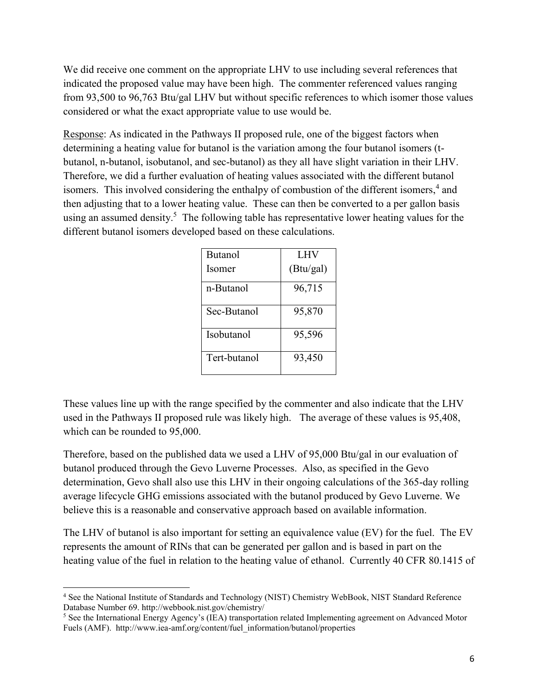We did receive one comment on the appropriate LHV to use including several references that indicated the proposed value may have been high. The commenter referenced values ranging from 93,500 to 96,763 Btu/gal LHV but without specific references to which isomer those values considered or what the exact appropriate value to use would be.

Response: As indicated in the Pathways II proposed rule, one of the biggest factors when determining a heating value for butanol is the variation among the four butanol isomers (tbutanol, n-butanol, isobutanol, and sec-butanol) as they all have slight variation in their LHV. Therefore, we did a further evaluation of heating values associated with the different butanol isomers. This involved considering the enthalpy of combustion of the different isomers,<sup>4</sup> and then adjusting that to a lower heating value. These can then be converted to a per gallon basis using an assumed density.<sup>5</sup> The following table has representative lower heating values for the different butanol isomers developed based on these calculations.

| <b>Butanol</b> | LHV       |  |
|----------------|-----------|--|
| Isomer         | (Btu/gal) |  |
| n-Butanol      | 96,715    |  |
| Sec-Butanol    | 95,870    |  |
| Isobutanol     | 95,596    |  |
| Tert-butanol   | 93,450    |  |

These values line up with the range specified by the commenter and also indicate that the LHV used in the Pathways II proposed rule was likely high. The average of these values is 95,408, which can be rounded to 95,000.

Therefore, based on the published data we used a LHV of 95,000 Btu/gal in our evaluation of butanol produced through the Gevo Luverne Processes. Also, as specified in the Gevo determination, Gevo shall also use this LHV in their ongoing calculations of the 365-day rolling average lifecycle GHG emissions associated with the butanol produced by Gevo Luverne. We believe this is a reasonable and conservative approach based on available information.

The LHV of butanol is also important for setting an equivalence value (EV) for the fuel. The EV represents the amount of RINs that can be generated per gallon and is based in part on the heating value of the fuel in relation to the heating value of ethanol. Currently 40 CFR 80.1415 of

 $\overline{\phantom{a}}$ 

<sup>4</sup> See the National Institute of Standards and Technology (NIST) Chemistry WebBook, NIST Standard Reference Database Number 69. http://webbook.nist.gov/chemistry/

<sup>5</sup> See the International Energy Agency's (IEA) transportation related Implementing agreement on Advanced Motor Fuels (AMF). http://www.iea-amf.org/content/fuel\_information/butanol/properties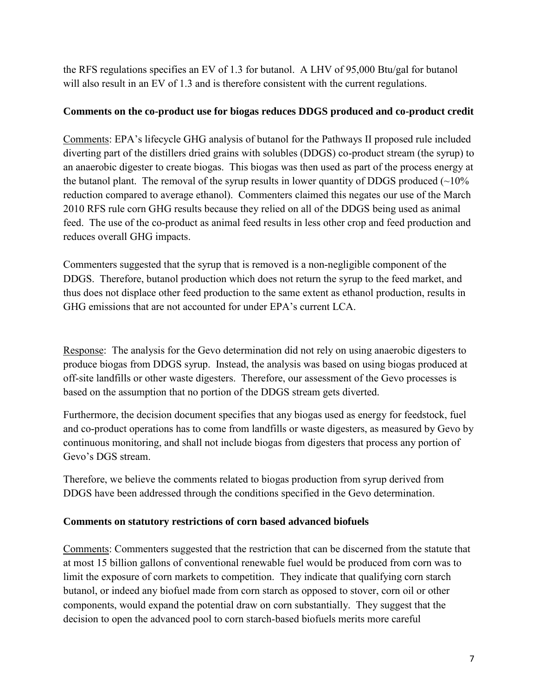the RFS regulations specifies an EV of 1.3 for butanol. A LHV of 95,000 Btu/gal for butanol will also result in an EV of 1.3 and is therefore consistent with the current regulations.

## **Comments on the co-product use for biogas reduces DDGS produced and co-product credit**

Comments: EPA's lifecycle GHG analysis of butanol for the Pathways II proposed rule included diverting part of the distillers dried grains with solubles (DDGS) co-product stream (the syrup) to an anaerobic digester to create biogas. This biogas was then used as part of the process energy at the butanol plant. The removal of the syrup results in lower quantity of DDGS produced  $(\sim 10\%$ reduction compared to average ethanol). Commenters claimed this negates our use of the March 2010 RFS rule corn GHG results because they relied on all of the DDGS being used as animal feed. The use of the co-product as animal feed results in less other crop and feed production and reduces overall GHG impacts.

Commenters suggested that the syrup that is removed is a non-negligible component of the DDGS. Therefore, butanol production which does not return the syrup to the feed market, and thus does not displace other feed production to the same extent as ethanol production, results in GHG emissions that are not accounted for under EPA's current LCA.

Response: The analysis for the Gevo determination did not rely on using anaerobic digesters to produce biogas from DDGS syrup. Instead, the analysis was based on using biogas produced at off-site landfills or other waste digesters. Therefore, our assessment of the Gevo processes is based on the assumption that no portion of the DDGS stream gets diverted.

Furthermore, the decision document specifies that any biogas used as energy for feedstock, fuel and co-product operations has to come from landfills or waste digesters, as measured by Gevo by continuous monitoring, and shall not include biogas from digesters that process any portion of Gevo's DGS stream.

Therefore, we believe the comments related to biogas production from syrup derived from DDGS have been addressed through the conditions specified in the Gevo determination.

# **Comments on statutory restrictions of corn based advanced biofuels**

Comments: Commenters suggested that the restriction that can be discerned from the statute that at most 15 billion gallons of conventional renewable fuel would be produced from corn was to limit the exposure of corn markets to competition. They indicate that qualifying corn starch butanol, or indeed any biofuel made from corn starch as opposed to stover, corn oil or other components, would expand the potential draw on corn substantially. They suggest that the decision to open the advanced pool to corn starch-based biofuels merits more careful